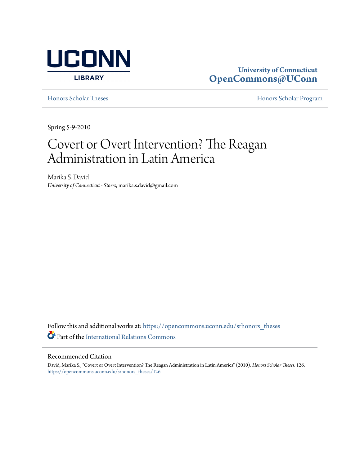

## **University of Connecticut [OpenCommons@UConn](https://opencommons.uconn.edu?utm_source=opencommons.uconn.edu%2Fsrhonors_theses%2F126&utm_medium=PDF&utm_campaign=PDFCoverPages)**

[Honors Scholar Theses](https://opencommons.uconn.edu/srhonors_theses?utm_source=opencommons.uconn.edu%2Fsrhonors_theses%2F126&utm_medium=PDF&utm_campaign=PDFCoverPages) [Honors Scholar Program](https://opencommons.uconn.edu/srhonors?utm_source=opencommons.uconn.edu%2Fsrhonors_theses%2F126&utm_medium=PDF&utm_campaign=PDFCoverPages)

Spring 5-9-2010

## Covert or Overt Intervention? The Reagan Administration in Latin America

Marika S. David *University of Connecticut - Storrs*, marika.s.david@gmail.com

Follow this and additional works at: [https://opencommons.uconn.edu/srhonors\\_theses](https://opencommons.uconn.edu/srhonors_theses?utm_source=opencommons.uconn.edu%2Fsrhonors_theses%2F126&utm_medium=PDF&utm_campaign=PDFCoverPages) Part of the [International Relations Commons](http://network.bepress.com/hgg/discipline/389?utm_source=opencommons.uconn.edu%2Fsrhonors_theses%2F126&utm_medium=PDF&utm_campaign=PDFCoverPages)

#### Recommended Citation

David, Marika S., "Covert or Overt Intervention? The Reagan Administration in Latin America" (2010). *Honors Scholar Theses*. 126. [https://opencommons.uconn.edu/srhonors\\_theses/126](https://opencommons.uconn.edu/srhonors_theses/126?utm_source=opencommons.uconn.edu%2Fsrhonors_theses%2F126&utm_medium=PDF&utm_campaign=PDFCoverPages)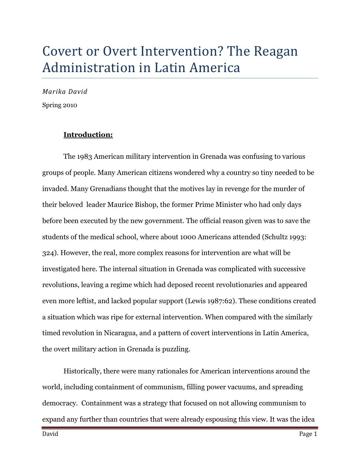# Covert or Overt Intervention? The Reagan Administration in Latin America

Marika David Spring 2010

## Introduction:

The 1983 American military intervention in Grenada was confusing to various groups of people. Many American citizens wondered why a country so tiny needed to be invaded. Many Grenadians thought that the motives lay in revenge for the murder of their beloved leader Maurice Bishop, the former Prime Minister who had only days before been executed by the new government. The official reason given was to save the students of the medical school, where about 1000 Americans attended (Schultz 1993: 324). However, the real, more complex reasons for intervention are what will be investigated here. The internal situation in Grenada was complicated with successive revolutions, leaving a regime which had deposed recent revolutionaries and appeared even more leftist, and lacked popular support (Lewis 1987:62). These conditions created a situation which was ripe for external intervention. When compared with the similarly timed revolution in Nicaragua, and a pattern of covert interventions in Latin America, the overt military action in Grenada is puzzling.

Historically, there were many rationales for American interventions around the world, including containment of communism, filling power vacuums, and spreading democracy. Containment was a strategy that focused on not allowing communism to expand any further than countries that were already espousing this view. It was the idea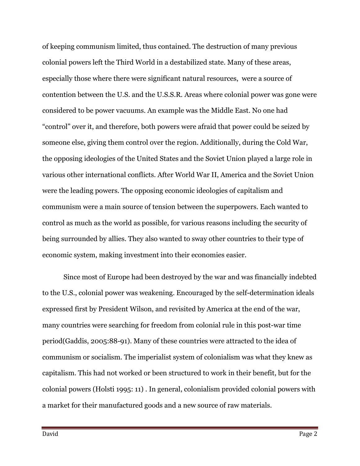of keeping communism limited, thus contained. The destruction of many previous colonial powers left the Third World in a destabilized state. Many of these areas, especially those where there were significant natural resources, were a source of contention between the U.S. and the U.S.S.R. Areas where colonial power was gone were considered to be power vacuums. An example was the Middle East. No one had "control" over it, and therefore, both powers were afraid that power could be seized by someone else, giving them control over the region. Additionally, during the Cold War, the opposing ideologies of the United States and the Soviet Union played a large role in various other international conflicts. After World War II, America and the Soviet Union were the leading powers. The opposing economic ideologies of capitalism and communism were a main source of tension between the superpowers. Each wanted to control as much as the world as possible, for various reasons including the security of being surrounded by allies. They also wanted to sway other countries to their type of economic system, making investment into their economies easier.

Since most of Europe had been destroyed by the war and was financially indebted to the U.S., colonial power was weakening. Encouraged by the self-determination ideals expressed first by President Wilson, and revisited by America at the end of the war, many countries were searching for freedom from colonial rule in this post-war time period(Gaddis, 2005:88-91). Many of these countries were attracted to the idea of communism or socialism. The imperialist system of colonialism was what they knew as capitalism. This had not worked or been structured to work in their benefit, but for the colonial powers (Holsti 1995: 11) . In general, colonialism provided colonial powers with a market for their manufactured goods and a new source of raw materials.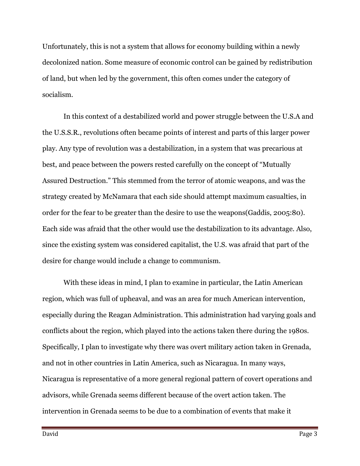Unfortunately, this is not a system that allows for economy building within a newly decolonized nation. Some measure of economic control can be gained by redistribution of land, but when led by the government, this often comes under the category of socialism.

In this context of a destabilized world and power struggle between the U.S.A and the U.S.S.R., revolutions often became points of interest and parts of this larger power play. Any type of revolution was a destabilization, in a system that was precarious at best, and peace between the powers rested carefully on the concept of "Mutually Assured Destruction." This stemmed from the terror of atomic weapons, and was the strategy created by McNamara that each side should attempt maximum casualties, in order for the fear to be greater than the desire to use the weapons(Gaddis, 2005:80). Each side was afraid that the other would use the destabilization to its advantage. Also, since the existing system was considered capitalist, the U.S. was afraid that part of the desire for change would include a change to communism.

With these ideas in mind, I plan to examine in particular, the Latin American region, which was full of upheaval, and was an area for much American intervention, especially during the Reagan Administration. This administration had varying goals and conflicts about the region, which played into the actions taken there during the 1980s. Specifically, I plan to investigate why there was overt military action taken in Grenada, and not in other countries in Latin America, such as Nicaragua. In many ways, Nicaragua is representative of a more general regional pattern of covert operations and advisors, while Grenada seems different because of the overt action taken. The intervention in Grenada seems to be due to a combination of events that make it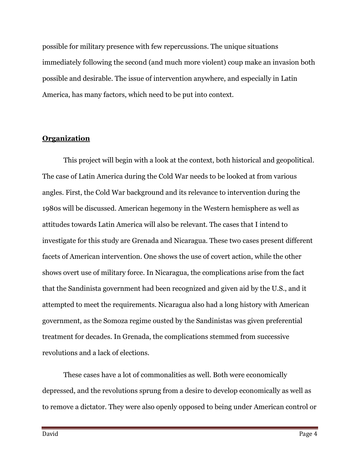possible for military presence with few repercussions. The unique situations immediately following the second (and much more violent) coup make an invasion both possible and desirable. The issue of intervention anywhere, and especially in Latin America, has many factors, which need to be put into context.

#### **Organization**

This project will begin with a look at the context, both historical and geopolitical. The case of Latin America during the Cold War needs to be looked at from various angles. First, the Cold War background and its relevance to intervention during the 1980s will be discussed. American hegemony in the Western hemisphere as well as attitudes towards Latin America will also be relevant. The cases that I intend to investigate for this study are Grenada and Nicaragua. These two cases present different facets of American intervention. One shows the use of covert action, while the other shows overt use of military force. In Nicaragua, the complications arise from the fact that the Sandinista government had been recognized and given aid by the U.S., and it attempted to meet the requirements. Nicaragua also had a long history with American government, as the Somoza regime ousted by the Sandinistas was given preferential treatment for decades. In Grenada, the complications stemmed from successive revolutions and a lack of elections.

These cases have a lot of commonalities as well. Both were economically depressed, and the revolutions sprung from a desire to develop economically as well as to remove a dictator. They were also openly opposed to being under American control or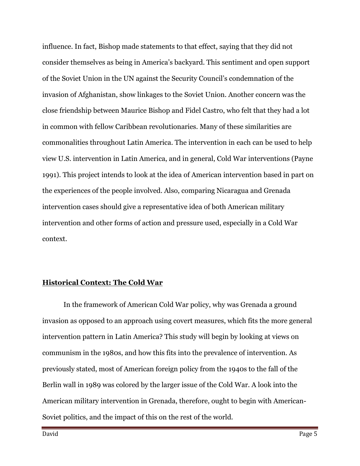influence. In fact, Bishop made statements to that effect, saying that they did not consider themselves as being in America's backyard. This sentiment and open support of the Soviet Union in the UN against the Security Council's condemnation of the invasion of Afghanistan, show linkages to the Soviet Union. Another concern was the close friendship between Maurice Bishop and Fidel Castro, who felt that they had a lot in common with fellow Caribbean revolutionaries. Many of these similarities are commonalities throughout Latin America. The intervention in each can be used to help view U.S. intervention in Latin America, and in general, Cold War interventions (Payne 1991). This project intends to look at the idea of American intervention based in part on the experiences of the people involved. Also, comparing Nicaragua and Grenada intervention cases should give a representative idea of both American military intervention and other forms of action and pressure used, especially in a Cold War context.

#### Historical Context: The Cold War

In the framework of American Cold War policy, why was Grenada a ground invasion as opposed to an approach using covert measures, which fits the more general intervention pattern in Latin America? This study will begin by looking at views on communism in the 1980s, and how this fits into the prevalence of intervention. As previously stated, most of American foreign policy from the 1940s to the fall of the Berlin wall in 1989 was colored by the larger issue of the Cold War. A look into the American military intervention in Grenada, therefore, ought to begin with American-Soviet politics, and the impact of this on the rest of the world.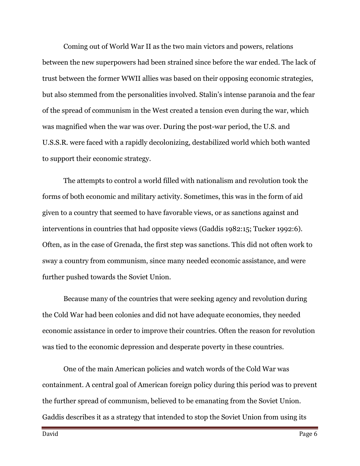Coming out of World War II as the two main victors and powers, relations between the new superpowers had been strained since before the war ended. The lack of trust between the former WWII allies was based on their opposing economic strategies, but also stemmed from the personalities involved. Stalin's intense paranoia and the fear of the spread of communism in the West created a tension even during the war, which was magnified when the war was over. During the post-war period, the U.S. and U.S.S.R. were faced with a rapidly decolonizing, destabilized world which both wanted to support their economic strategy.

The attempts to control a world filled with nationalism and revolution took the forms of both economic and military activity. Sometimes, this was in the form of aid given to a country that seemed to have favorable views, or as sanctions against and interventions in countries that had opposite views (Gaddis 1982:15; Tucker 1992:6). Often, as in the case of Grenada, the first step was sanctions. This did not often work to sway a country from communism, since many needed economic assistance, and were further pushed towards the Soviet Union.

Because many of the countries that were seeking agency and revolution during the Cold War had been colonies and did not have adequate economies, they needed economic assistance in order to improve their countries. Often the reason for revolution was tied to the economic depression and desperate poverty in these countries.

One of the main American policies and watch words of the Cold War was containment. A central goal of American foreign policy during this period was to prevent the further spread of communism, believed to be emanating from the Soviet Union. Gaddis describes it as a strategy that intended to stop the Soviet Union from using its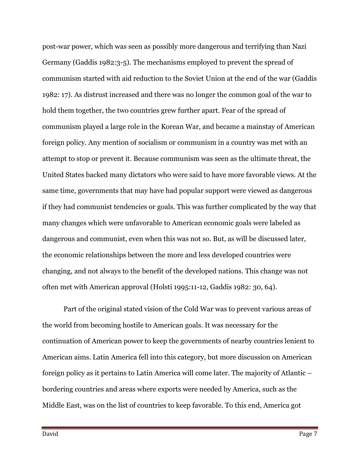post-war power, which was seen as possibly more dangerous and terrifying than Nazi Germany (Gaddis 1982:3-5). The mechanisms employed to prevent the spread of communism started with aid reduction to the Soviet Union at the end of the war (Gaddis 1982: 17). As distrust increased and there was no longer the common goal of the war to hold them together, the two countries grew further apart. Fear of the spread of communism played a large role in the Korean War, and became a mainstay of American foreign policy. Any mention of socialism or communism in a country was met with an attempt to stop or prevent it. Because communism was seen as the ultimate threat, the United States backed many dictators who were said to have more favorable views. At the same time, governments that may have had popular support were viewed as dangerous if they had communist tendencies or goals. This was further complicated by the way that many changes which were unfavorable to American economic goals were labeled as dangerous and communist, even when this was not so. But, as will be discussed later, the economic relationships between the more and less developed countries were changing, and not always to the benefit of the developed nations. This change was not often met with American approval (Holsti 1995:11-12, Gaddis 1982: 30, 64).

Part of the original stated vision of the Cold War was to prevent various areas of the world from becoming hostile to American goals. It was necessary for the continuation of American power to keep the governments of nearby countries lenient to American aims. Latin America fell into this category, but more discussion on American foreign policy as it pertains to Latin America will come later. The majority of Atlantic – bordering countries and areas where exports were needed by America, such as the Middle East, was on the list of countries to keep favorable. To this end, America got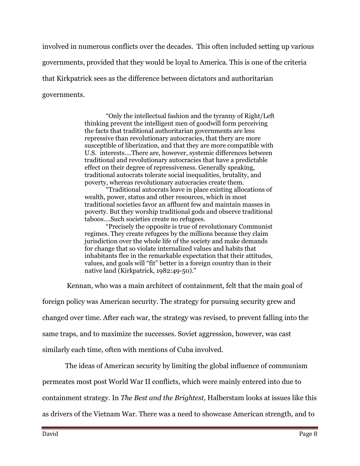involved in numerous conflicts over the decades. This often included setting up various governments, provided that they would be loyal to America. This is one of the criteria that Kirkpatrick sees as the difference between dictators and authoritarian governments.

> "Only the intellectual fashion and the tyranny of Right/Left thinking prevent the intelligent men of goodwill form perceiving the facts that traditional authoritarian governments are less repressive than revolutionary autocracies, that thery are more susceptible of liberization, and that they are more compatible with U.S. interests….There are, however, systemic differences between traditional and revolutionary autocracies that have a predictable effect on their degree of repressiveness. Generally speaking, traditional autocrats tolerate social inequalities, brutality, and poverty, whereas revolutionary autocracies create them.

> "Traditional autocrats leave in place existing allocations of wealth, power, status and other resources, which in most traditional societies favor an affluent few and maintain masses in poverty. But they worship traditional gods and observe traditional taboos….Such societies create no refugees.

> "Precisely the opposite is true of revolutionary Communist regimes. They create refugees by the millions because they claim jurisdiction over the whole life of the society and make demands for change that so violate internalized values and habits that inhabitants flee in the remarkable expectation that their attitudes, values, and goals will "fit" better in a foreign country than in their native land (Kirkpatrick, 1982:49-50)."

Kennan, who was a main architect of containment, felt that the main goal of

foreign policy was American security. The strategy for pursuing security grew and

changed over time. After each war, the strategy was revised, to prevent falling into the

same traps, and to maximize the successes. Soviet aggression, however, was cast

similarly each time, often with mentions of Cuba involved.

The ideas of American security by limiting the global influence of communism

permeates most post World War II conflicts, which were mainly entered into due to

containment strategy. In The Best and the Brightest, Halberstam looks at issues like this

as drivers of the Vietnam War. There was a need to showcase American strength, and to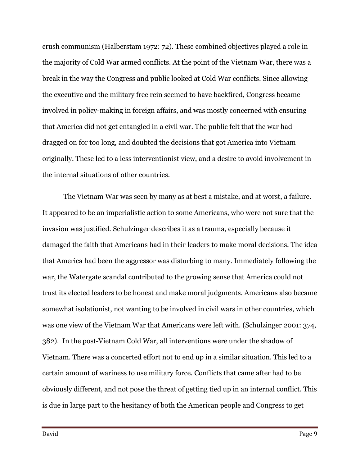crush communism (Halberstam 1972: 72). These combined objectives played a role in the majority of Cold War armed conflicts. At the point of the Vietnam War, there was a break in the way the Congress and public looked at Cold War conflicts. Since allowing the executive and the military free rein seemed to have backfired, Congress became involved in policy-making in foreign affairs, and was mostly concerned with ensuring that America did not get entangled in a civil war. The public felt that the war had dragged on for too long, and doubted the decisions that got America into Vietnam originally. These led to a less interventionist view, and a desire to avoid involvement in the internal situations of other countries.

The Vietnam War was seen by many as at best a mistake, and at worst, a failure. It appeared to be an imperialistic action to some Americans, who were not sure that the invasion was justified. Schulzinger describes it as a trauma, especially because it damaged the faith that Americans had in their leaders to make moral decisions. The idea that America had been the aggressor was disturbing to many. Immediately following the war, the Watergate scandal contributed to the growing sense that America could not trust its elected leaders to be honest and make moral judgments. Americans also became somewhat isolationist, not wanting to be involved in civil wars in other countries, which was one view of the Vietnam War that Americans were left with. (Schulzinger 2001: 374, 382). In the post-Vietnam Cold War, all interventions were under the shadow of Vietnam. There was a concerted effort not to end up in a similar situation. This led to a certain amount of wariness to use military force. Conflicts that came after had to be obviously different, and not pose the threat of getting tied up in an internal conflict. This is due in large part to the hesitancy of both the American people and Congress to get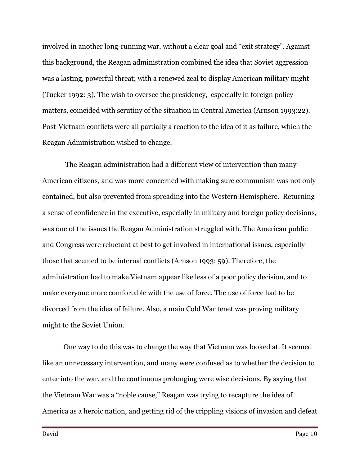involved in another long-running war, without a clear goal and "exit strategy". Against this background, the Reagan administration combined the idea that Soviet aggression was a lasting, powerful threat; with a renewed zeal to display American military might (Tucker 1992: 3). The wish to oversee the presidency, especially in foreign policy matters, coincided with scrutiny of the situation in Central America (Arnson 1993:22). Post-Vietnam conflicts were all partially a reaction to the idea of it as failure, which the Reagan Administration wished to change.

 The Reagan administration had a different view of intervention than many American citizens, and was more concerned with making sure communism was not only contained, but also prevented from spreading into the Western Hemisphere. Returning a sense of confidence in the executive, especially in military and foreign policy decisions, was one of the issues the Reagan Administration struggled with. The American public and Congress were reluctant at best to get involved in international issues, especially those that seemed to be internal conflicts (Arnson 1993: 59). Therefore, the administration had to make Vietnam appear like less of a poor policy decision, and to make everyone more comfortable with the use of force. The use of force had to be divorced from the idea of failure. Also, a main Cold War tenet was proving military might to the Soviet Union.

One way to do this was to change the way that Vietnam was looked at. It seemed like an unnecessary intervention, and many were confused as to whether the decision to enter into the war, and the continuous prolonging were wise decisions. By saying that the Vietnam War was a "noble cause," Reagan was trying to recapture the idea of America as a heroic nation, and getting rid of the crippling visions of invasion and defeat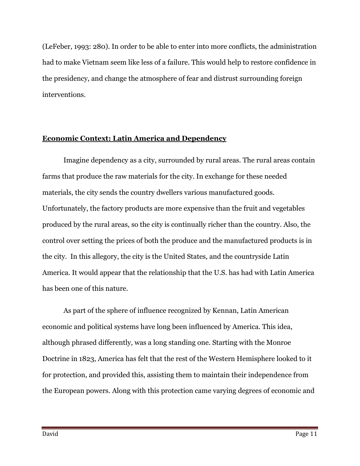(LeFeber, 1993: 280). In order to be able to enter into more conflicts, the administration had to make Vietnam seem like less of a failure. This would help to restore confidence in the presidency, and change the atmosphere of fear and distrust surrounding foreign interventions.

#### Economic Context: Latin America and Dependency

 Imagine dependency as a city, surrounded by rural areas. The rural areas contain farms that produce the raw materials for the city. In exchange for these needed materials, the city sends the country dwellers various manufactured goods. Unfortunately, the factory products are more expensive than the fruit and vegetables produced by the rural areas, so the city is continually richer than the country. Also, the control over setting the prices of both the produce and the manufactured products is in the city. In this allegory, the city is the United States, and the countryside Latin America. It would appear that the relationship that the U.S. has had with Latin America has been one of this nature.

As part of the sphere of influence recognized by Kennan, Latin American economic and political systems have long been influenced by America. This idea, although phrased differently, was a long standing one. Starting with the Monroe Doctrine in 1823, America has felt that the rest of the Western Hemisphere looked to it for protection, and provided this, assisting them to maintain their independence from the European powers. Along with this protection came varying degrees of economic and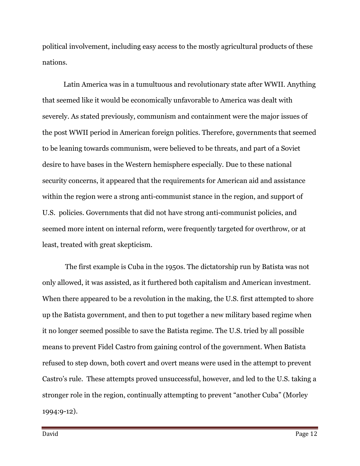political involvement, including easy access to the mostly agricultural products of these nations.

Latin America was in a tumultuous and revolutionary state after WWII. Anything that seemed like it would be economically unfavorable to America was dealt with severely. As stated previously, communism and containment were the major issues of the post WWII period in American foreign politics. Therefore, governments that seemed to be leaning towards communism, were believed to be threats, and part of a Soviet desire to have bases in the Western hemisphere especially. Due to these national security concerns, it appeared that the requirements for American aid and assistance within the region were a strong anti-communist stance in the region, and support of U.S. policies. Governments that did not have strong anti-communist policies, and seemed more intent on internal reform, were frequently targeted for overthrow, or at least, treated with great skepticism.

 The first example is Cuba in the 1950s. The dictatorship run by Batista was not only allowed, it was assisted, as it furthered both capitalism and American investment. When there appeared to be a revolution in the making, the U.S. first attempted to shore up the Batista government, and then to put together a new military based regime when it no longer seemed possible to save the Batista regime. The U.S. tried by all possible means to prevent Fidel Castro from gaining control of the government. When Batista refused to step down, both covert and overt means were used in the attempt to prevent Castro's rule. These attempts proved unsuccessful, however, and led to the U.S. taking a stronger role in the region, continually attempting to prevent "another Cuba" (Morley 1994:9-12).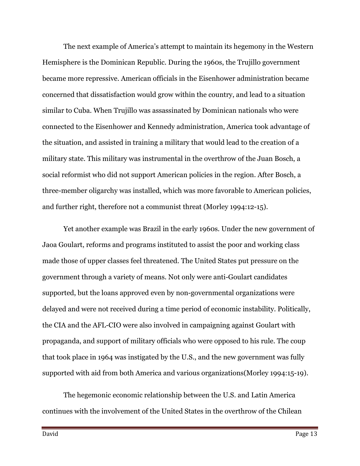The next example of America's attempt to maintain its hegemony in the Western Hemisphere is the Dominican Republic. During the 1960s, the Trujillo government became more repressive. American officials in the Eisenhower administration became concerned that dissatisfaction would grow within the country, and lead to a situation similar to Cuba. When Trujillo was assassinated by Dominican nationals who were connected to the Eisenhower and Kennedy administration, America took advantage of the situation, and assisted in training a military that would lead to the creation of a military state. This military was instrumental in the overthrow of the Juan Bosch, a social reformist who did not support American policies in the region. After Bosch, a three-member oligarchy was installed, which was more favorable to American policies, and further right, therefore not a communist threat (Morley 1994:12-15).

Yet another example was Brazil in the early 1960s. Under the new government of Jaoa Goulart, reforms and programs instituted to assist the poor and working class made those of upper classes feel threatened. The United States put pressure on the government through a variety of means. Not only were anti-Goulart candidates supported, but the loans approved even by non-governmental organizations were delayed and were not received during a time period of economic instability. Politically, the CIA and the AFL-CIO were also involved in campaigning against Goulart with propaganda, and support of military officials who were opposed to his rule. The coup that took place in 1964 was instigated by the U.S., and the new government was fully supported with aid from both America and various organizations(Morley 1994:15-19).

The hegemonic economic relationship between the U.S. and Latin America continues with the involvement of the United States in the overthrow of the Chilean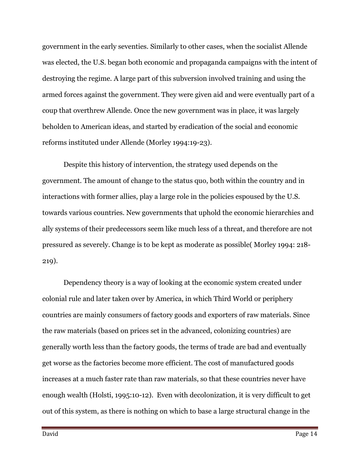government in the early seventies. Similarly to other cases, when the socialist Allende was elected, the U.S. began both economic and propaganda campaigns with the intent of destroying the regime. A large part of this subversion involved training and using the armed forces against the government. They were given aid and were eventually part of a coup that overthrew Allende. Once the new government was in place, it was largely beholden to American ideas, and started by eradication of the social and economic reforms instituted under Allende (Morley 1994:19-23).

Despite this history of intervention, the strategy used depends on the government. The amount of change to the status quo, both within the country and in interactions with former allies, play a large role in the policies espoused by the U.S. towards various countries. New governments that uphold the economic hierarchies and ally systems of their predecessors seem like much less of a threat, and therefore are not pressured as severely. Change is to be kept as moderate as possible( Morley 1994: 218- 219).

 Dependency theory is a way of looking at the economic system created under colonial rule and later taken over by America, in which Third World or periphery countries are mainly consumers of factory goods and exporters of raw materials. Since the raw materials (based on prices set in the advanced, colonizing countries) are generally worth less than the factory goods, the terms of trade are bad and eventually get worse as the factories become more efficient. The cost of manufactured goods increases at a much faster rate than raw materials, so that these countries never have enough wealth (Holsti, 1995:10-12). Even with decolonization, it is very difficult to get out of this system, as there is nothing on which to base a large structural change in the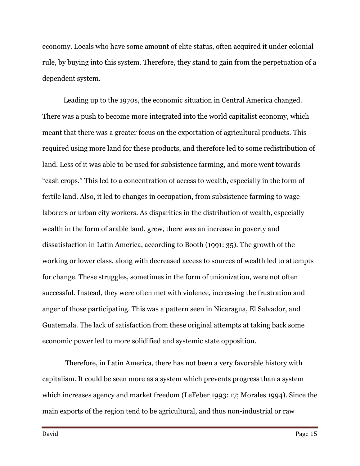economy. Locals who have some amount of elite status, often acquired it under colonial rule, by buying into this system. Therefore, they stand to gain from the perpetuation of a dependent system.

Leading up to the 1970s, the economic situation in Central America changed. There was a push to become more integrated into the world capitalist economy, which meant that there was a greater focus on the exportation of agricultural products. This required using more land for these products, and therefore led to some redistribution of land. Less of it was able to be used for subsistence farming, and more went towards "cash crops." This led to a concentration of access to wealth, especially in the form of fertile land. Also, it led to changes in occupation, from subsistence farming to wagelaborers or urban city workers. As disparities in the distribution of wealth, especially wealth in the form of arable land, grew, there was an increase in poverty and dissatisfaction in Latin America, according to Booth (1991: 35). The growth of the working or lower class, along with decreased access to sources of wealth led to attempts for change. These struggles, sometimes in the form of unionization, were not often successful. Instead, they were often met with violence, increasing the frustration and anger of those participating. This was a pattern seen in Nicaragua, El Salvador, and Guatemala. The lack of satisfaction from these original attempts at taking back some economic power led to more solidified and systemic state opposition.

 Therefore, in Latin America, there has not been a very favorable history with capitalism. It could be seen more as a system which prevents progress than a system which increases agency and market freedom (LeFeber 1993: 17; Morales 1994). Since the main exports of the region tend to be agricultural, and thus non-industrial or raw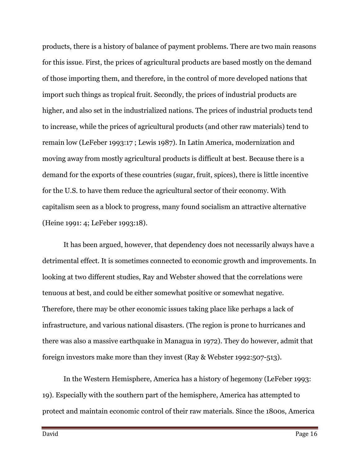products, there is a history of balance of payment problems. There are two main reasons for this issue. First, the prices of agricultural products are based mostly on the demand of those importing them, and therefore, in the control of more developed nations that import such things as tropical fruit. Secondly, the prices of industrial products are higher, and also set in the industrialized nations. The prices of industrial products tend to increase, while the prices of agricultural products (and other raw materials) tend to remain low (LeFeber 1993:17 ; Lewis 1987). In Latin America, modernization and moving away from mostly agricultural products is difficult at best. Because there is a demand for the exports of these countries (sugar, fruit, spices), there is little incentive for the U.S. to have them reduce the agricultural sector of their economy. With capitalism seen as a block to progress, many found socialism an attractive alternative (Heine 1991: 4; LeFeber 1993:18).

It has been argued, however, that dependency does not necessarily always have a detrimental effect. It is sometimes connected to economic growth and improvements. In looking at two different studies, Ray and Webster showed that the correlations were tenuous at best, and could be either somewhat positive or somewhat negative. Therefore, there may be other economic issues taking place like perhaps a lack of infrastructure, and various national disasters. (The region is prone to hurricanes and there was also a massive earthquake in Managua in 1972). They do however, admit that foreign investors make more than they invest (Ray & Webster 1992:507-513).

In the Western Hemisphere, America has a history of hegemony (LeFeber 1993: 19). Especially with the southern part of the hemisphere, America has attempted to protect and maintain economic control of their raw materials. Since the 1800s, America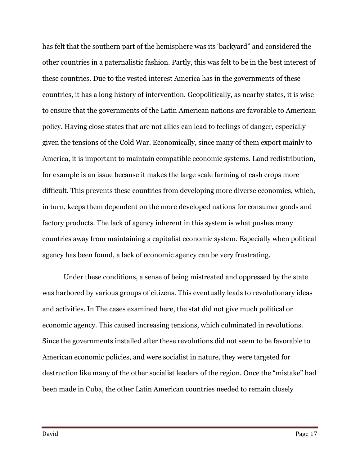has felt that the southern part of the hemisphere was its 'backyard" and considered the other countries in a paternalistic fashion. Partly, this was felt to be in the best interest of these countries. Due to the vested interest America has in the governments of these countries, it has a long history of intervention. Geopolitically, as nearby states, it is wise to ensure that the governments of the Latin American nations are favorable to American policy. Having close states that are not allies can lead to feelings of danger, especially given the tensions of the Cold War. Economically, since many of them export mainly to America, it is important to maintain compatible economic systems. Land redistribution, for example is an issue because it makes the large scale farming of cash crops more difficult. This prevents these countries from developing more diverse economies, which, in turn, keeps them dependent on the more developed nations for consumer goods and factory products. The lack of agency inherent in this system is what pushes many countries away from maintaining a capitalist economic system. Especially when political agency has been found, a lack of economic agency can be very frustrating.

Under these conditions, a sense of being mistreated and oppressed by the state was harbored by various groups of citizens. This eventually leads to revolutionary ideas and activities. In The cases examined here, the stat did not give much political or economic agency. This caused increasing tensions, which culminated in revolutions. Since the governments installed after these revolutions did not seem to be favorable to American economic policies, and were socialist in nature, they were targeted for destruction like many of the other socialist leaders of the region. Once the "mistake" had been made in Cuba, the other Latin American countries needed to remain closely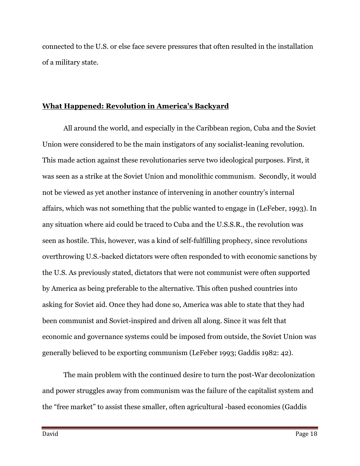connected to the U.S. or else face severe pressures that often resulted in the installation of a military state.

### What Happened: Revolution in America's Backyard

All around the world, and especially in the Caribbean region, Cuba and the Soviet Union were considered to be the main instigators of any socialist-leaning revolution. This made action against these revolutionaries serve two ideological purposes. First, it was seen as a strike at the Soviet Union and monolithic communism. Secondly, it would not be viewed as yet another instance of intervening in another country's internal affairs, which was not something that the public wanted to engage in (LeFeber, 1993). In any situation where aid could be traced to Cuba and the U.S.S.R., the revolution was seen as hostile. This, however, was a kind of self-fulfilling prophecy, since revolutions overthrowing U.S.-backed dictators were often responded to with economic sanctions by the U.S. As previously stated, dictators that were not communist were often supported by America as being preferable to the alternative. This often pushed countries into asking for Soviet aid. Once they had done so, America was able to state that they had been communist and Soviet-inspired and driven all along. Since it was felt that economic and governance systems could be imposed from outside, the Soviet Union was generally believed to be exporting communism (LeFeber 1993; Gaddis 1982: 42).

The main problem with the continued desire to turn the post-War decolonization and power struggles away from communism was the failure of the capitalist system and the "free market" to assist these smaller, often agricultural -based economies (Gaddis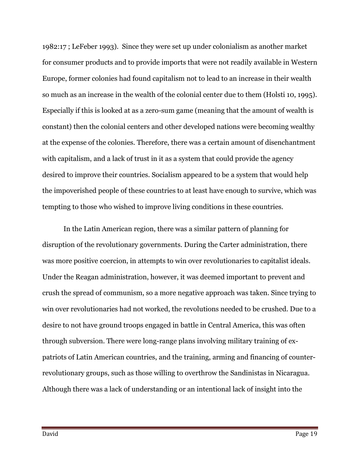1982:17 ; LeFeber 1993). Since they were set up under colonialism as another market for consumer products and to provide imports that were not readily available in Western Europe, former colonies had found capitalism not to lead to an increase in their wealth so much as an increase in the wealth of the colonial center due to them (Holsti 10, 1995). Especially if this is looked at as a zero-sum game (meaning that the amount of wealth is constant) then the colonial centers and other developed nations were becoming wealthy at the expense of the colonies. Therefore, there was a certain amount of disenchantment with capitalism, and a lack of trust in it as a system that could provide the agency desired to improve their countries. Socialism appeared to be a system that would help the impoverished people of these countries to at least have enough to survive, which was tempting to those who wished to improve living conditions in these countries.

In the Latin American region, there was a similar pattern of planning for disruption of the revolutionary governments. During the Carter administration, there was more positive coercion, in attempts to win over revolutionaries to capitalist ideals. Under the Reagan administration, however, it was deemed important to prevent and crush the spread of communism, so a more negative approach was taken. Since trying to win over revolutionaries had not worked, the revolutions needed to be crushed. Due to a desire to not have ground troops engaged in battle in Central America, this was often through subversion. There were long-range plans involving military training of expatriots of Latin American countries, and the training, arming and financing of counterrevolutionary groups, such as those willing to overthrow the Sandinistas in Nicaragua. Although there was a lack of understanding or an intentional lack of insight into the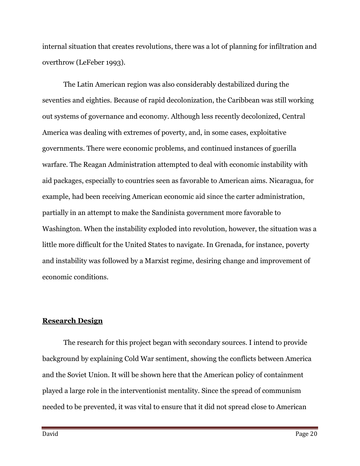internal situation that creates revolutions, there was a lot of planning for infiltration and overthrow (LeFeber 1993).

The Latin American region was also considerably destabilized during the seventies and eighties. Because of rapid decolonization, the Caribbean was still working out systems of governance and economy. Although less recently decolonized, Central America was dealing with extremes of poverty, and, in some cases, exploitative governments. There were economic problems, and continued instances of guerilla warfare. The Reagan Administration attempted to deal with economic instability with aid packages, especially to countries seen as favorable to American aims. Nicaragua, for example, had been receiving American economic aid since the carter administration, partially in an attempt to make the Sandinista government more favorable to Washington. When the instability exploded into revolution, however, the situation was a little more difficult for the United States to navigate. In Grenada, for instance, poverty and instability was followed by a Marxist regime, desiring change and improvement of economic conditions.

## Research Design

The research for this project began with secondary sources. I intend to provide background by explaining Cold War sentiment, showing the conflicts between America and the Soviet Union. It will be shown here that the American policy of containment played a large role in the interventionist mentality. Since the spread of communism needed to be prevented, it was vital to ensure that it did not spread close to American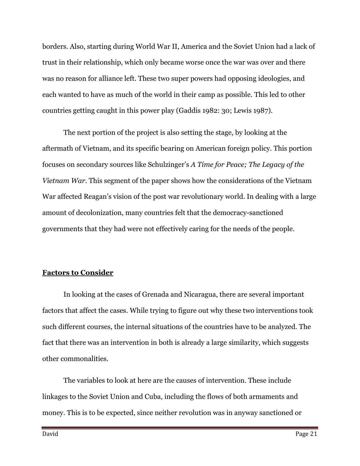borders. Also, starting during World War II, America and the Soviet Union had a lack of trust in their relationship, which only became worse once the war was over and there was no reason for alliance left. These two super powers had opposing ideologies, and each wanted to have as much of the world in their camp as possible. This led to other countries getting caught in this power play (Gaddis 1982: 30; Lewis 1987).

The next portion of the project is also setting the stage, by looking at the aftermath of Vietnam, and its specific bearing on American foreign policy. This portion focuses on secondary sources like Schulzinger's A Time for Peace; The Legacy of the Vietnam War. This segment of the paper shows how the considerations of the Vietnam War affected Reagan's vision of the post war revolutionary world. In dealing with a large amount of decolonization, many countries felt that the democracy-sanctioned governments that they had were not effectively caring for the needs of the people.

## Factors to Consider

In looking at the cases of Grenada and Nicaragua, there are several important factors that affect the cases. While trying to figure out why these two interventions took such different courses, the internal situations of the countries have to be analyzed. The fact that there was an intervention in both is already a large similarity, which suggests other commonalities.

 The variables to look at here are the causes of intervention. These include linkages to the Soviet Union and Cuba, including the flows of both armaments and money. This is to be expected, since neither revolution was in anyway sanctioned or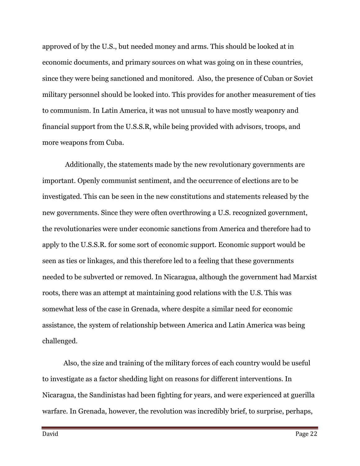approved of by the U.S., but needed money and arms. This should be looked at in economic documents, and primary sources on what was going on in these countries, since they were being sanctioned and monitored. Also, the presence of Cuban or Soviet military personnel should be looked into. This provides for another measurement of ties to communism. In Latin America, it was not unusual to have mostly weaponry and financial support from the U.S.S.R, while being provided with advisors, troops, and more weapons from Cuba.

 Additionally, the statements made by the new revolutionary governments are important. Openly communist sentiment, and the occurrence of elections are to be investigated. This can be seen in the new constitutions and statements released by the new governments. Since they were often overthrowing a U.S. recognized government, the revolutionaries were under economic sanctions from America and therefore had to apply to the U.S.S.R. for some sort of economic support. Economic support would be seen as ties or linkages, and this therefore led to a feeling that these governments needed to be subverted or removed. In Nicaragua, although the government had Marxist roots, there was an attempt at maintaining good relations with the U.S. This was somewhat less of the case in Grenada, where despite a similar need for economic assistance, the system of relationship between America and Latin America was being challenged.

Also, the size and training of the military forces of each country would be useful to investigate as a factor shedding light on reasons for different interventions. In Nicaragua, the Sandinistas had been fighting for years, and were experienced at guerilla warfare. In Grenada, however, the revolution was incredibly brief, to surprise, perhaps,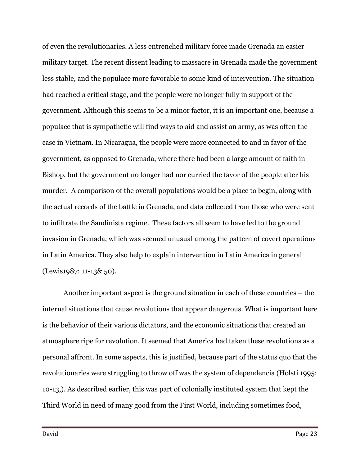of even the revolutionaries. A less entrenched military force made Grenada an easier military target. The recent dissent leading to massacre in Grenada made the government less stable, and the populace more favorable to some kind of intervention. The situation had reached a critical stage, and the people were no longer fully in support of the government. Although this seems to be a minor factor, it is an important one, because a populace that is sympathetic will find ways to aid and assist an army, as was often the case in Vietnam. In Nicaragua, the people were more connected to and in favor of the government, as opposed to Grenada, where there had been a large amount of faith in Bishop, but the government no longer had nor curried the favor of the people after his murder. A comparison of the overall populations would be a place to begin, along with the actual records of the battle in Grenada, and data collected from those who were sent to infiltrate the Sandinista regime. These factors all seem to have led to the ground invasion in Grenada, which was seemed unusual among the pattern of covert operations in Latin America. They also help to explain intervention in Latin America in general (Lewis1987: 11-13& 50).

Another important aspect is the ground situation in each of these countries – the internal situations that cause revolutions that appear dangerous. What is important here is the behavior of their various dictators, and the economic situations that created an atmosphere ripe for revolution. It seemed that America had taken these revolutions as a personal affront. In some aspects, this is justified, because part of the status quo that the revolutionaries were struggling to throw off was the system of dependencia (Holsti 1995: 10-13,). As described earlier, this was part of colonially instituted system that kept the Third World in need of many good from the First World, including sometimes food,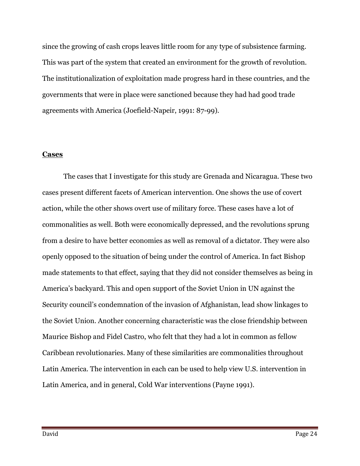since the growing of cash crops leaves little room for any type of subsistence farming. This was part of the system that created an environment for the growth of revolution. The institutionalization of exploitation made progress hard in these countries, and the governments that were in place were sanctioned because they had had good trade agreements with America (Joefield-Napeir, 1991: 87-99).

#### Cases

The cases that I investigate for this study are Grenada and Nicaragua. These two cases present different facets of American intervention. One shows the use of covert action, while the other shows overt use of military force. These cases have a lot of commonalities as well. Both were economically depressed, and the revolutions sprung from a desire to have better economies as well as removal of a dictator. They were also openly opposed to the situation of being under the control of America. In fact Bishop made statements to that effect, saying that they did not consider themselves as being in America's backyard. This and open support of the Soviet Union in UN against the Security council's condemnation of the invasion of Afghanistan, lead show linkages to the Soviet Union. Another concerning characteristic was the close friendship between Maurice Bishop and Fidel Castro, who felt that they had a lot in common as fellow Caribbean revolutionaries. Many of these similarities are commonalities throughout Latin America. The intervention in each can be used to help view U.S. intervention in Latin America, and in general, Cold War interventions (Payne 1991).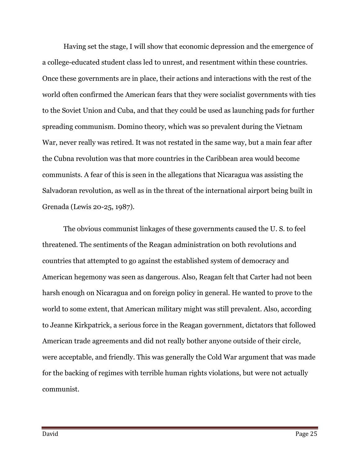Having set the stage, I will show that economic depression and the emergence of a college-educated student class led to unrest, and resentment within these countries. Once these governments are in place, their actions and interactions with the rest of the world often confirmed the American fears that they were socialist governments with ties to the Soviet Union and Cuba, and that they could be used as launching pads for further spreading communism. Domino theory, which was so prevalent during the Vietnam War, never really was retired. It was not restated in the same way, but a main fear after the Cubna revolution was that more countries in the Caribbean area would become communists. A fear of this is seen in the allegations that Nicaragua was assisting the Salvadoran revolution, as well as in the threat of the international airport being built in Grenada (Lewis 20-25, 1987).

 The obvious communist linkages of these governments caused the U. S. to feel threatened. The sentiments of the Reagan administration on both revolutions and countries that attempted to go against the established system of democracy and American hegemony was seen as dangerous. Also, Reagan felt that Carter had not been harsh enough on Nicaragua and on foreign policy in general. He wanted to prove to the world to some extent, that American military might was still prevalent. Also, according to Jeanne Kirkpatrick, a serious force in the Reagan government, dictators that followed American trade agreements and did not really bother anyone outside of their circle, were acceptable, and friendly. This was generally the Cold War argument that was made for the backing of regimes with terrible human rights violations, but were not actually communist.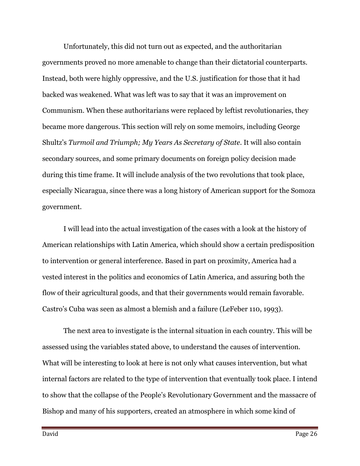Unfortunately, this did not turn out as expected, and the authoritarian governments proved no more amenable to change than their dictatorial counterparts. Instead, both were highly oppressive, and the U.S. justification for those that it had backed was weakened. What was left was to say that it was an improvement on Communism. When these authoritarians were replaced by leftist revolutionaries, they became more dangerous. This section will rely on some memoirs, including George Shultz's Turmoil and Triumph; My Years As Secretary of State. It will also contain secondary sources, and some primary documents on foreign policy decision made during this time frame. It will include analysis of the two revolutions that took place, especially Nicaragua, since there was a long history of American support for the Somoza government.

I will lead into the actual investigation of the cases with a look at the history of American relationships with Latin America, which should show a certain predisposition to intervention or general interference. Based in part on proximity, America had a vested interest in the politics and economics of Latin America, and assuring both the flow of their agricultural goods, and that their governments would remain favorable. Castro's Cuba was seen as almost a blemish and a failure (LeFeber 110, 1993).

The next area to investigate is the internal situation in each country. This will be assessed using the variables stated above, to understand the causes of intervention. What will be interesting to look at here is not only what causes intervention, but what internal factors are related to the type of intervention that eventually took place. I intend to show that the collapse of the People's Revolutionary Government and the massacre of Bishop and many of his supporters, created an atmosphere in which some kind of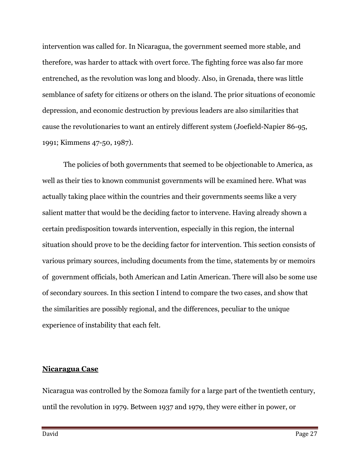intervention was called for. In Nicaragua, the government seemed more stable, and therefore, was harder to attack with overt force. The fighting force was also far more entrenched, as the revolution was long and bloody. Also, in Grenada, there was little semblance of safety for citizens or others on the island. The prior situations of economic depression, and economic destruction by previous leaders are also similarities that cause the revolutionaries to want an entirely different system (Joefield-Napier 86-95, 1991; Kimmens 47-50, 1987).

The policies of both governments that seemed to be objectionable to America, as well as their ties to known communist governments will be examined here. What was actually taking place within the countries and their governments seems like a very salient matter that would be the deciding factor to intervene. Having already shown a certain predisposition towards intervention, especially in this region, the internal situation should prove to be the deciding factor for intervention. This section consists of various primary sources, including documents from the time, statements by or memoirs of government officials, both American and Latin American. There will also be some use of secondary sources. In this section I intend to compare the two cases, and show that the similarities are possibly regional, and the differences, peculiar to the unique experience of instability that each felt.

#### Nicaragua Case

Nicaragua was controlled by the Somoza family for a large part of the twentieth century, until the revolution in 1979. Between 1937 and 1979, they were either in power, or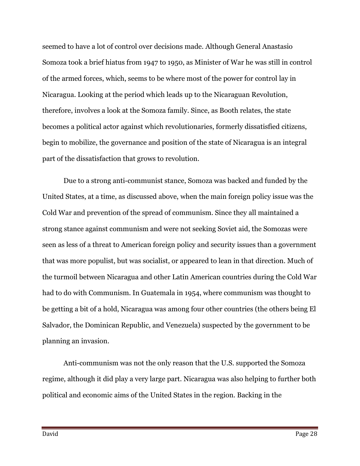seemed to have a lot of control over decisions made. Although General Anastasio Somoza took a brief hiatus from 1947 to 1950, as Minister of War he was still in control of the armed forces, which, seems to be where most of the power for control lay in Nicaragua. Looking at the period which leads up to the Nicaraguan Revolution, therefore, involves a look at the Somoza family. Since, as Booth relates, the state becomes a political actor against which revolutionaries, formerly dissatisfied citizens, begin to mobilize, the governance and position of the state of Nicaragua is an integral part of the dissatisfaction that grows to revolution.

 Due to a strong anti-communist stance, Somoza was backed and funded by the United States, at a time, as discussed above, when the main foreign policy issue was the Cold War and prevention of the spread of communism. Since they all maintained a strong stance against communism and were not seeking Soviet aid, the Somozas were seen as less of a threat to American foreign policy and security issues than a government that was more populist, but was socialist, or appeared to lean in that direction. Much of the turmoil between Nicaragua and other Latin American countries during the Cold War had to do with Communism. In Guatemala in 1954, where communism was thought to be getting a bit of a hold, Nicaragua was among four other countries (the others being El Salvador, the Dominican Republic, and Venezuela) suspected by the government to be planning an invasion.

 Anti-communism was not the only reason that the U.S. supported the Somoza regime, although it did play a very large part. Nicaragua was also helping to further both political and economic aims of the United States in the region. Backing in the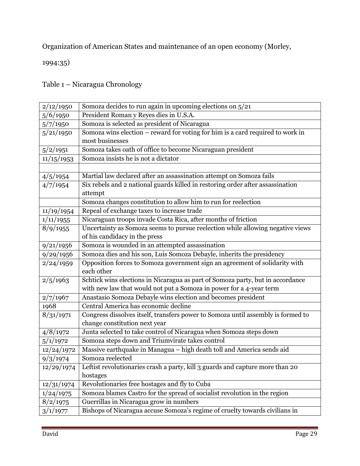Organization of American States and maintenance of an open economy (Morley,

1994:35)

Table 1 – Nicaragua Chronology

| 2/12/1950            | Somoza decides to run again in upcoming elections on 5/21                        |
|----------------------|----------------------------------------------------------------------------------|
| 5/6/1950             | President Roman y Reyes dies in U.S.A.                                           |
| 5/7/1950             | Somoza is selected as president of Nicaragua                                     |
| 5/21/1950            | Somoza wins election - reward for voting for him is a card required to work in   |
|                      | most businesses                                                                  |
| 5/2/1951             | Somoza takes oath of office to become Nicaraguan president                       |
| 11/15/1953           | Somoza insists he is not a dictator                                              |
|                      |                                                                                  |
| 4/5/1954             | Martial law declared after an assassination attempt on Somoza fails              |
| 4/7/1954             | Six rebels and 2 national guards killed in restoring order after assassination   |
|                      | attempt                                                                          |
|                      | Somoza changes constitution to allow him to run for reelection                   |
| 11/19/1954           | Repeal of exchange taxes to increase trade                                       |
| 1/11/1955            | Nicaraguan troops invade Costa Rica, after months of friction                    |
| 8/9/1955             | Uncertainty as Somoza seems to pursue reelection while allowing negative views   |
|                      | of his candidacy in the press                                                    |
| 9/21/1956            | Somoza is wounded in an attempted assassination                                  |
| 9/29/1956            | Somoza dies and his son, Luis Somoza Debayle, inherits the presidency            |
| $\sqrt{2}/24/1959$   | Opposition forces to Somoza government sign an agreement of solidarity with      |
|                      | each other                                                                       |
| 2/5/1963             | Schtick wins elections in Nicaragua as part of Somoza party, but in accordance   |
|                      | with new law that would not put a Somoza in power for a 4-year term              |
| 2/7/1967             | Anastasio Somoza Debayle wins election and becomes president                     |
| 1968                 | Central America has economic decline                                             |
| 8/31/1971            | Congress dissolves itself, transfers power to Somoza until assembly is formed to |
|                      | change constitution next year                                                    |
| 4/8/1972             | Junta selected to take control of Nicaragua when Somoza steps down               |
| $\frac{1}{5}/1/1972$ | Somoza steps down and Triumvirate takes control                                  |
| 12/24/1972           | Massive earthquake in Managua - high death toll and America sends aid            |
| 9/3/1974             | Somoza reelected                                                                 |
| 12/29/1974           | Leftist revolutionaries crash a party, kill 3 guards and capture more than 20    |
|                      | hostages                                                                         |
| 12/31/1974           | Revolutionaries free hostages and fly to Cuba                                    |
| 1/24/1975            | Somoza blames Castro for the spread of socialist revolution in the region        |
| 8/2/1975             | Guerrillas in Nicaragua grow in numbers                                          |
| 3/1/1977             | Bishops of Nicaragua accuse Somoza's regime of cruelty towards civilians in      |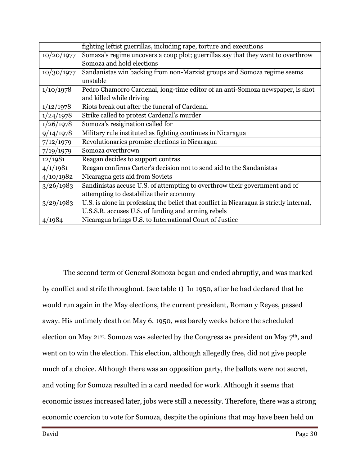|            | fighting leftist guerrillas, including rape, torture and executions                     |
|------------|-----------------------------------------------------------------------------------------|
| 10/20/1977 | Somaza's regime uncovers a coup plot; guerrillas say that they want to overthrow        |
|            | Somoza and hold elections                                                               |
| 10/30/1977 | Sandanistas win backing from non-Marxist groups and Somoza regime seems                 |
|            | unstable                                                                                |
| 1/10/1978  | Pedro Chamorro Cardenal, long-time editor of an anti-Somoza newspaper, is shot          |
|            | and killed while driving                                                                |
| 1/12/1978  | Riots break out after the funeral of Cardenal                                           |
| 1/24/1978  | Strike called to protest Cardenal's murder                                              |
| 1/26/1978  | Somoza's resigination called for                                                        |
| 9/14/1978  | Military rule instituted as fighting continues in Nicaragua                             |
| 7/12/1979  | Revolutionaries promise elections in Nicaragua                                          |
| 7/19/1979  | Somoza overthrown                                                                       |
| 12/1981    | Reagan decides to support contras                                                       |
| 4/1/1981   | Reagan confirms Carter's decision not to send aid to the Sandanistas                    |
| 4/10/1982  | Nicaragua gets aid from Soviets                                                         |
| 3/26/1983  | Sandinistas accuse U.S. of attempting to overthrow their government and of              |
|            | attempting to destabilize their economy                                                 |
| 3/29/1983  | U.S. is alone in professing the belief that conflict in Nicaragua is strictly internal, |
|            | U.S.S.R. accuses U.S. of funding and arming rebels                                      |
| 4/1984     | Nicaragua brings U.S. to International Court of Justice                                 |

 The second term of General Somoza began and ended abruptly, and was marked by conflict and strife throughout. (see table 1) In 1950, after he had declared that he would run again in the May elections, the current president, Roman y Reyes, passed away. His untimely death on May 6, 1950, was barely weeks before the scheduled election on May 21st. Somoza was selected by the Congress as president on May 7th, and went on to win the election. This election, although allegedly free, did not give people much of a choice. Although there was an opposition party, the ballots were not secret, and voting for Somoza resulted in a card needed for work. Although it seems that economic issues increased later, jobs were still a necessity. Therefore, there was a strong economic coercion to vote for Somoza, despite the opinions that may have been held on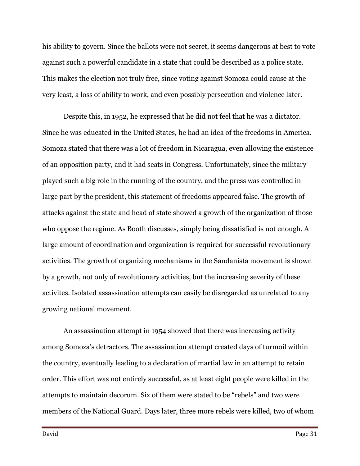his ability to govern. Since the ballots were not secret, it seems dangerous at best to vote against such a powerful candidate in a state that could be described as a police state. This makes the election not truly free, since voting against Somoza could cause at the very least, a loss of ability to work, and even possibly persecution and violence later.

Despite this, in 1952, he expressed that he did not feel that he was a dictator. Since he was educated in the United States, he had an idea of the freedoms in America. Somoza stated that there was a lot of freedom in Nicaragua, even allowing the existence of an opposition party, and it had seats in Congress. Unfortunately, since the military played such a big role in the running of the country, and the press was controlled in large part by the president, this statement of freedoms appeared false. The growth of attacks against the state and head of state showed a growth of the organization of those who oppose the regime. As Booth discusses, simply being dissatisfied is not enough. A large amount of coordination and organization is required for successful revolutionary activities. The growth of organizing mechanisms in the Sandanista movement is shown by a growth, not only of revolutionary activities, but the increasing severity of these activites. Isolated assassination attempts can easily be disregarded as unrelated to any growing national movement.

An assassination attempt in 1954 showed that there was increasing activity among Somoza's detractors. The assassination attempt created days of turmoil within the country, eventually leading to a declaration of martial law in an attempt to retain order. This effort was not entirely successful, as at least eight people were killed in the attempts to maintain decorum. Six of them were stated to be "rebels" and two were members of the National Guard. Days later, three more rebels were killed, two of whom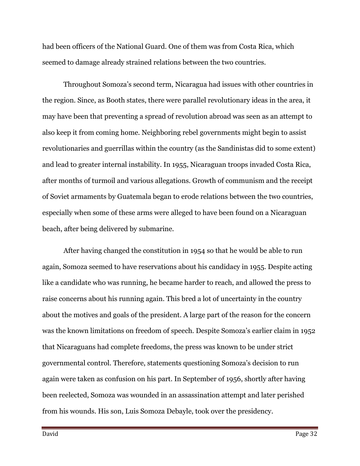had been officers of the National Guard. One of them was from Costa Rica, which seemed to damage already strained relations between the two countries.

Throughout Somoza's second term, Nicaragua had issues with other countries in the region. Since, as Booth states, there were parallel revolutionary ideas in the area, it may have been that preventing a spread of revolution abroad was seen as an attempt to also keep it from coming home. Neighboring rebel governments might begin to assist revolutionaries and guerrillas within the country (as the Sandinistas did to some extent) and lead to greater internal instability. In 1955, Nicaraguan troops invaded Costa Rica, after months of turmoil and various allegations. Growth of communism and the receipt of Soviet armaments by Guatemala began to erode relations between the two countries, especially when some of these arms were alleged to have been found on a Nicaraguan beach, after being delivered by submarine.

After having changed the constitution in 1954 so that he would be able to run again, Somoza seemed to have reservations about his candidacy in 1955. Despite acting like a candidate who was running, he became harder to reach, and allowed the press to raise concerns about his running again. This bred a lot of uncertainty in the country about the motives and goals of the president. A large part of the reason for the concern was the known limitations on freedom of speech. Despite Somoza's earlier claim in 1952 that Nicaraguans had complete freedoms, the press was known to be under strict governmental control. Therefore, statements questioning Somoza's decision to run again were taken as confusion on his part. In September of 1956, shortly after having been reelected, Somoza was wounded in an assassination attempt and later perished from his wounds. His son, Luis Somoza Debayle, took over the presidency.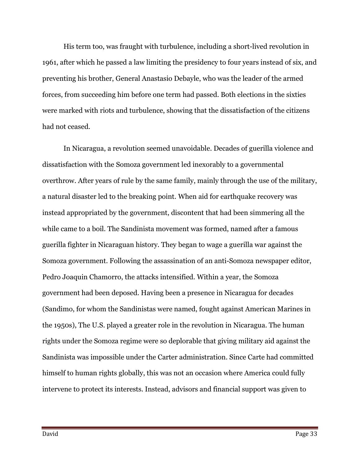His term too, was fraught with turbulence, including a short-lived revolution in 1961, after which he passed a law limiting the presidency to four years instead of six, and preventing his brother, General Anastasio Debayle, who was the leader of the armed forces, from succeeding him before one term had passed. Both elections in the sixties were marked with riots and turbulence, showing that the dissatisfaction of the citizens had not ceased.

In Nicaragua, a revolution seemed unavoidable. Decades of guerilla violence and dissatisfaction with the Somoza government led inexorably to a governmental overthrow. After years of rule by the same family, mainly through the use of the military, a natural disaster led to the breaking point. When aid for earthquake recovery was instead appropriated by the government, discontent that had been simmering all the while came to a boil. The Sandinista movement was formed, named after a famous guerilla fighter in Nicaraguan history. They began to wage a guerilla war against the Somoza government. Following the assassination of an anti-Somoza newspaper editor, Pedro Joaquin Chamorro, the attacks intensified. Within a year, the Somoza government had been deposed. Having been a presence in Nicaragua for decades (Sandimo, for whom the Sandinistas were named, fought against American Marines in the 1950s), The U.S. played a greater role in the revolution in Nicaragua. The human rights under the Somoza regime were so deplorable that giving military aid against the Sandinista was impossible under the Carter administration. Since Carte had committed himself to human rights globally, this was not an occasion where America could fully intervene to protect its interests. Instead, advisors and financial support was given to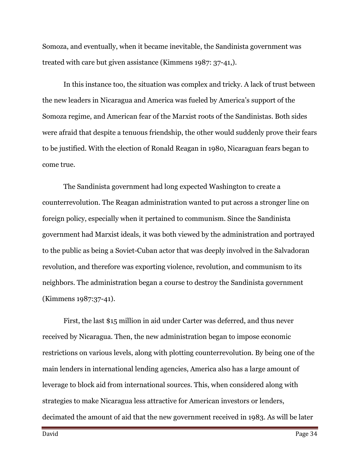Somoza, and eventually, when it became inevitable, the Sandinista government was treated with care but given assistance (Kimmens 1987: 37-41,).

In this instance too, the situation was complex and tricky. A lack of trust between the new leaders in Nicaragua and America was fueled by America's support of the Somoza regime, and American fear of the Marxist roots of the Sandinistas. Both sides were afraid that despite a tenuous friendship, the other would suddenly prove their fears to be justified. With the election of Ronald Reagan in 1980, Nicaraguan fears began to come true.

The Sandinista government had long expected Washington to create a counterrevolution. The Reagan administration wanted to put across a stronger line on foreign policy, especially when it pertained to communism. Since the Sandinista government had Marxist ideals, it was both viewed by the administration and portrayed to the public as being a Soviet-Cuban actor that was deeply involved in the Salvadoran revolution, and therefore was exporting violence, revolution, and communism to its neighbors. The administration began a course to destroy the Sandinista government (Kimmens 1987:37-41).

First, the last \$15 million in aid under Carter was deferred, and thus never received by Nicaragua. Then, the new administration began to impose economic restrictions on various levels, along with plotting counterrevolution. By being one of the main lenders in international lending agencies, America also has a large amount of leverage to block aid from international sources. This, when considered along with strategies to make Nicaragua less attractive for American investors or lenders, decimated the amount of aid that the new government received in 1983. As will be later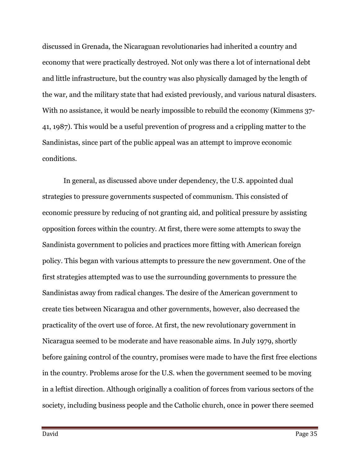discussed in Grenada, the Nicaraguan revolutionaries had inherited a country and economy that were practically destroyed. Not only was there a lot of international debt and little infrastructure, but the country was also physically damaged by the length of the war, and the military state that had existed previously, and various natural disasters. With no assistance, it would be nearly impossible to rebuild the economy (Kimmens 37- 41, 1987). This would be a useful prevention of progress and a crippling matter to the Sandinistas, since part of the public appeal was an attempt to improve economic conditions.

In general, as discussed above under dependency, the U.S. appointed dual strategies to pressure governments suspected of communism. This consisted of economic pressure by reducing of not granting aid, and political pressure by assisting opposition forces within the country. At first, there were some attempts to sway the Sandinista government to policies and practices more fitting with American foreign policy. This began with various attempts to pressure the new government. One of the first strategies attempted was to use the surrounding governments to pressure the Sandinistas away from radical changes. The desire of the American government to create ties between Nicaragua and other governments, however, also decreased the practicality of the overt use of force. At first, the new revolutionary government in Nicaragua seemed to be moderate and have reasonable aims. In July 1979, shortly before gaining control of the country, promises were made to have the first free elections in the country. Problems arose for the U.S. when the government seemed to be moving in a leftist direction. Although originally a coalition of forces from various sectors of the society, including business people and the Catholic church, once in power there seemed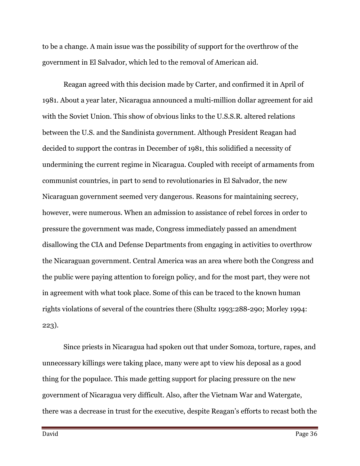to be a change. A main issue was the possibility of support for the overthrow of the government in El Salvador, which led to the removal of American aid.

Reagan agreed with this decision made by Carter, and confirmed it in April of 1981. About a year later, Nicaragua announced a multi-million dollar agreement for aid with the Soviet Union. This show of obvious links to the U.S.S.R. altered relations between the U.S. and the Sandinista government. Although President Reagan had decided to support the contras in December of 1981, this solidified a necessity of undermining the current regime in Nicaragua. Coupled with receipt of armaments from communist countries, in part to send to revolutionaries in El Salvador, the new Nicaraguan government seemed very dangerous. Reasons for maintaining secrecy, however, were numerous. When an admission to assistance of rebel forces in order to pressure the government was made, Congress immediately passed an amendment disallowing the CIA and Defense Departments from engaging in activities to overthrow the Nicaraguan government. Central America was an area where both the Congress and the public were paying attention to foreign policy, and for the most part, they were not in agreement with what took place. Some of this can be traced to the known human rights violations of several of the countries there (Shultz 1993:288-290; Morley 1994: 223).

Since priests in Nicaragua had spoken out that under Somoza, torture, rapes, and unnecessary killings were taking place, many were apt to view his deposal as a good thing for the populace. This made getting support for placing pressure on the new government of Nicaragua very difficult. Also, after the Vietnam War and Watergate, there was a decrease in trust for the executive, despite Reagan's efforts to recast both the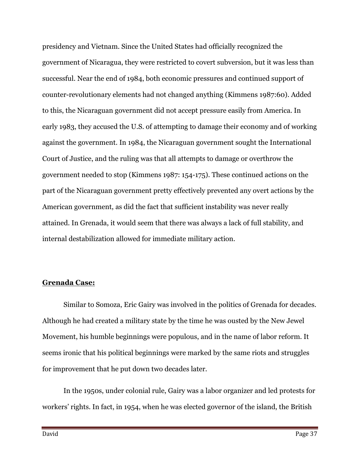presidency and Vietnam. Since the United States had officially recognized the government of Nicaragua, they were restricted to covert subversion, but it was less than successful. Near the end of 1984, both economic pressures and continued support of counter-revolutionary elements had not changed anything (Kimmens 1987:60). Added to this, the Nicaraguan government did not accept pressure easily from America. In early 1983, they accused the U.S. of attempting to damage their economy and of working against the government. In 1984, the Nicaraguan government sought the International Court of Justice, and the ruling was that all attempts to damage or overthrow the government needed to stop (Kimmens 1987: 154-175). These continued actions on the part of the Nicaraguan government pretty effectively prevented any overt actions by the American government, as did the fact that sufficient instability was never really attained. In Grenada, it would seem that there was always a lack of full stability, and internal destabilization allowed for immediate military action.

#### Grenada Case:

Similar to Somoza, Eric Gairy was involved in the politics of Grenada for decades. Although he had created a military state by the time he was ousted by the New Jewel Movement, his humble beginnings were populous, and in the name of labor reform. It seems ironic that his political beginnings were marked by the same riots and struggles for improvement that he put down two decades later.

In the 1950s, under colonial rule, Gairy was a labor organizer and led protests for workers' rights. In fact, in 1954, when he was elected governor of the island, the British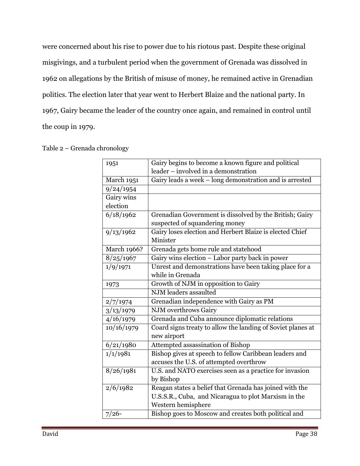were concerned about his rise to power due to his riotous past. Despite these original misgivings, and a turbulent period when the government of Grenada was dissolved in 1962 on allegations by the British of misuse of money, he remained active in Grenadian politics. The election later that year went to Herbert Blaize and the national party. In 1967, Gairy became the leader of the country once again, and remained in control until the coup in 1979.

| 1951                | Gairy begins to become a known figure and political         |
|---------------------|-------------------------------------------------------------|
|                     | leader – involved in a demonstration                        |
| March 1951          | Gairy leads a week - long demonstration and is arrested     |
| 9/24/1954           |                                                             |
| Gairy wins          |                                                             |
| election            |                                                             |
| $\frac{6}{18}$ 1962 | Grenadian Government is dissolved by the British; Gairy     |
|                     | suspected of squandering money                              |
| 9/13/1962           | Gairy loses election and Herbert Blaize is elected Chief    |
|                     | Minister                                                    |
| March 1966?         | Grenada gets home rule and statehood                        |
| 8/25/1967           | Gairy wins election - Labor party back in power             |
| 1/9/1971            | Unrest and demonstrations have been taking place for a      |
|                     | while in Grenada                                            |
| 1973                | Growth of NJM in opposition to Gairy                        |
|                     | NJM leaders assaulted                                       |
| 2/7/1974            | Grenadian independence with Gairy as PM                     |
| 3/13/1979           | <b>NJM</b> overthrows Gairy                                 |
| 4/16/1979           | Grenada and Cuba announce diplomatic relations              |
| 10/16/1979          | Coard signs treaty to allow the landing of Soviet planes at |
|                     | new airport                                                 |
| 6/21/1980           | Attempted assassination of Bishop                           |
| 1/1/1981            | Bishop gives at speech to fellow Caribbean leaders and      |
|                     | accuses the U.S. of attempted overthrow                     |
| 8/26/1981           | U.S. and NATO exercises seen as a practice for invasion     |
|                     | by Bishop                                                   |
| 2/6/1982            | Reagan states a belief that Grenada has joined with the     |
|                     | U.S.S.R., Cuba, and Nicaragua to plot Marxism in the        |
|                     | Western hemisphere                                          |
| $7/26-$             | Bishop goes to Moscow and creates both political and        |

Table 2 – Grenada chronology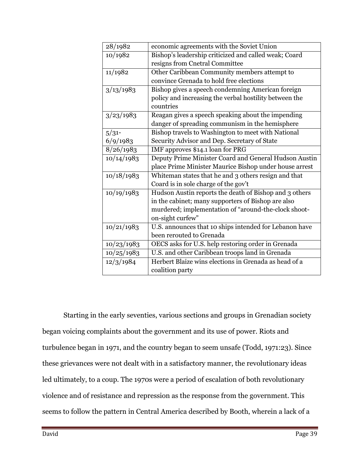| 28/1982    | economic agreements with the Soviet Union              |
|------------|--------------------------------------------------------|
| 10/1982    | Bishop's leadership criticized and called weak; Coard  |
|            | resigns from Cnetral Committee                         |
| 11/1982    | Other Caribbean Community members attempt to           |
|            | convince Grenada to hold free elections                |
| 3/13/1983  | Bishop gives a speech condemning American foreign      |
|            | policy and increasing the verbal hostility between the |
|            | countries                                              |
| 3/23/1983  | Reagan gives a speech speaking about the impending     |
|            | danger of spreading communism in the hemisphere        |
| 5/31       | Bishop travels to Washington to meet with National     |
| 6/9/1983   | Security Advisor and Dep. Secretary of State           |
| 8/26/1983  | IMF approves \$14.1 loan for PRG                       |
| 10/14/1983 | Deputy Prime Minister Coard and General Hudson Austin  |
|            | place Prime Minister Maurice Bishop under house arrest |
| 10/18/1983 | Whiteman states that he and 3 others resign and that   |
|            | Coard is in sole charge of the gov't                   |
| 10/19/1983 | Hudson Austin reports the death of Bishop and 3 others |
|            | in the cabinet; many supporters of Bishop are also     |
|            | murdered; implementation of "around-the-clock shoot-   |
|            | on-sight curfew"                                       |
| 10/21/1983 | U.S. announces that 10 ships intended for Lebanon have |
|            | been rerouted to Grenada                               |
| 10/23/1983 | OECS asks for U.S. help restoring order in Grenada     |
| 10/25/1983 | U.S. and other Caribbean troops land in Grenada        |
| 12/3/1984  | Herbert Blaize wins elections in Grenada as head of a  |
|            | coalition party                                        |

Starting in the early seventies, various sections and groups in Grenadian society began voicing complaints about the government and its use of power. Riots and turbulence began in 1971, and the country began to seem unsafe (Todd, 1971:23). Since these grievances were not dealt with in a satisfactory manner, the revolutionary ideas led ultimately, to a coup. The 1970s were a period of escalation of both revolutionary violence and of resistance and repression as the response from the government. This seems to follow the pattern in Central America described by Booth, wherein a lack of a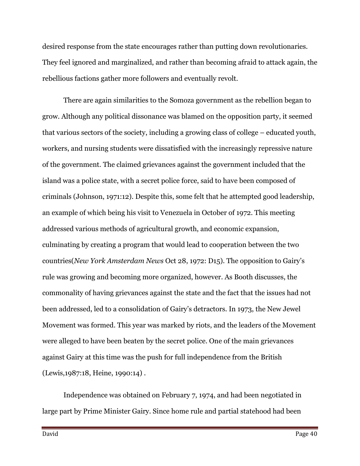desired response from the state encourages rather than putting down revolutionaries. They feel ignored and marginalized, and rather than becoming afraid to attack again, the rebellious factions gather more followers and eventually revolt.

There are again similarities to the Somoza government as the rebellion began to grow. Although any political dissonance was blamed on the opposition party, it seemed that various sectors of the society, including a growing class of college – educated youth, workers, and nursing students were dissatisfied with the increasingly repressive nature of the government. The claimed grievances against the government included that the island was a police state, with a secret police force, said to have been composed of criminals (Johnson, 1971:12). Despite this, some felt that he attempted good leadership, an example of which being his visit to Venezuela in October of 1972. This meeting addressed various methods of agricultural growth, and economic expansion, culminating by creating a program that would lead to cooperation between the two countries(New York Amsterdam News Oct 28, 1972: D15). The opposition to Gairy's rule was growing and becoming more organized, however. As Booth discusses, the commonality of having grievances against the state and the fact that the issues had not been addressed, led to a consolidation of Gairy's detractors. In 1973, the New Jewel Movement was formed. This year was marked by riots, and the leaders of the Movement were alleged to have been beaten by the secret police. One of the main grievances against Gairy at this time was the push for full independence from the British (Lewis,1987:18, Heine, 1990:14) .

Independence was obtained on February 7, 1974, and had been negotiated in large part by Prime Minister Gairy. Since home rule and partial statehood had been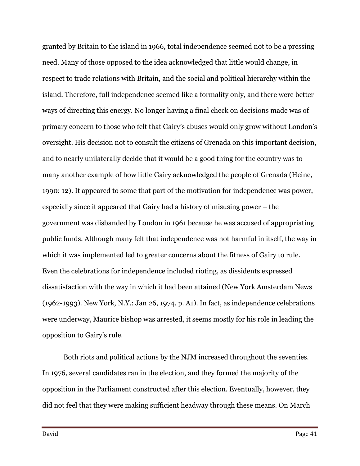granted by Britain to the island in 1966, total independence seemed not to be a pressing need. Many of those opposed to the idea acknowledged that little would change, in respect to trade relations with Britain, and the social and political hierarchy within the island. Therefore, full independence seemed like a formality only, and there were better ways of directing this energy. No longer having a final check on decisions made was of primary concern to those who felt that Gairy's abuses would only grow without London's oversight. His decision not to consult the citizens of Grenada on this important decision, and to nearly unilaterally decide that it would be a good thing for the country was to many another example of how little Gairy acknowledged the people of Grenada (Heine, 1990: 12). It appeared to some that part of the motivation for independence was power, especially since it appeared that Gairy had a history of misusing power – the government was disbanded by London in 1961 because he was accused of appropriating public funds. Although many felt that independence was not harmful in itself, the way in which it was implemented led to greater concerns about the fitness of Gairy to rule. Even the celebrations for independence included rioting, as dissidents expressed dissatisfaction with the way in which it had been attained (New York Amsterdam News (1962-1993). New York, N.Y.: Jan 26, 1974. p. A1). In fact, as independence celebrations were underway, Maurice bishop was arrested, it seems mostly for his role in leading the opposition to Gairy's rule.

Both riots and political actions by the NJM increased throughout the seventies. In 1976, several candidates ran in the election, and they formed the majority of the opposition in the Parliament constructed after this election. Eventually, however, they did not feel that they were making sufficient headway through these means. On March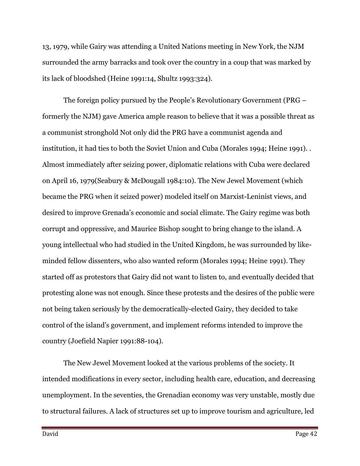13, 1979, while Gairy was attending a United Nations meeting in New York, the NJM surrounded the army barracks and took over the country in a coup that was marked by its lack of bloodshed (Heine 1991:14, Shultz 1993:324).

The foreign policy pursued by the People's Revolutionary Government (PRG – formerly the NJM) gave America ample reason to believe that it was a possible threat as a communist stronghold Not only did the PRG have a communist agenda and institution, it had ties to both the Soviet Union and Cuba (Morales 1994; Heine 1991). . Almost immediately after seizing power, diplomatic relations with Cuba were declared on April 16, 1979(Seabury & McDougall 1984:10). The New Jewel Movement (which became the PRG when it seized power) modeled itself on Marxist-Leninist views, and desired to improve Grenada's economic and social climate. The Gairy regime was both corrupt and oppressive, and Maurice Bishop sought to bring change to the island. A young intellectual who had studied in the United Kingdom, he was surrounded by likeminded fellow dissenters, who also wanted reform (Morales 1994; Heine 1991). They started off as protestors that Gairy did not want to listen to, and eventually decided that protesting alone was not enough. Since these protests and the desires of the public were not being taken seriously by the democratically-elected Gairy, they decided to take control of the island's government, and implement reforms intended to improve the country (Joefield Napier 1991:88-104).

The New Jewel Movement looked at the various problems of the society. It intended modifications in every sector, including health care, education, and decreasing unemployment. In the seventies, the Grenadian economy was very unstable, mostly due to structural failures. A lack of structures set up to improve tourism and agriculture, led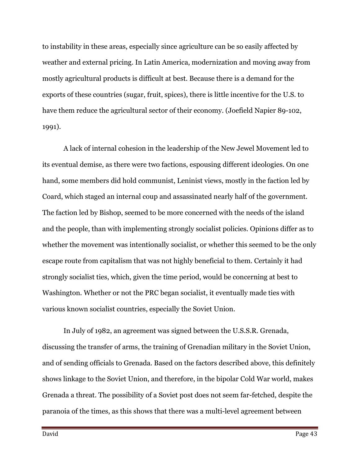to instability in these areas, especially since agriculture can be so easily affected by weather and external pricing. In Latin America, modernization and moving away from mostly agricultural products is difficult at best. Because there is a demand for the exports of these countries (sugar, fruit, spices), there is little incentive for the U.S. to have them reduce the agricultural sector of their economy. (Joefield Napier 89-102, 1991).

A lack of internal cohesion in the leadership of the New Jewel Movement led to its eventual demise, as there were two factions, espousing different ideologies. On one hand, some members did hold communist, Leninist views, mostly in the faction led by Coard, which staged an internal coup and assassinated nearly half of the government. The faction led by Bishop, seemed to be more concerned with the needs of the island and the people, than with implementing strongly socialist policies. Opinions differ as to whether the movement was intentionally socialist, or whether this seemed to be the only escape route from capitalism that was not highly beneficial to them. Certainly it had strongly socialist ties, which, given the time period, would be concerning at best to Washington. Whether or not the PRC began socialist, it eventually made ties with various known socialist countries, especially the Soviet Union.

In July of 1982, an agreement was signed between the U.S.S.R. Grenada, discussing the transfer of arms, the training of Grenadian military in the Soviet Union, and of sending officials to Grenada. Based on the factors described above, this definitely shows linkage to the Soviet Union, and therefore, in the bipolar Cold War world, makes Grenada a threat. The possibility of a Soviet post does not seem far-fetched, despite the paranoia of the times, as this shows that there was a multi-level agreement between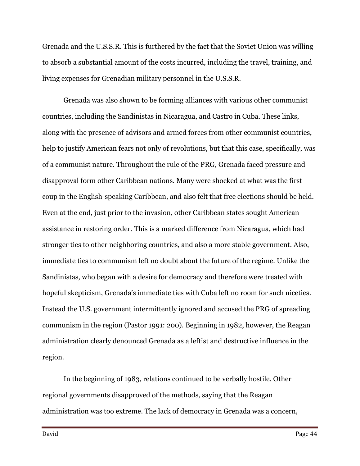Grenada and the U.S.S.R. This is furthered by the fact that the Soviet Union was willing to absorb a substantial amount of the costs incurred, including the travel, training, and living expenses for Grenadian military personnel in the U.S.S.R.

Grenada was also shown to be forming alliances with various other communist countries, including the Sandinistas in Nicaragua, and Castro in Cuba. These links, along with the presence of advisors and armed forces from other communist countries, help to justify American fears not only of revolutions, but that this case, specifically, was of a communist nature. Throughout the rule of the PRG, Grenada faced pressure and disapproval form other Caribbean nations. Many were shocked at what was the first coup in the English-speaking Caribbean, and also felt that free elections should be held. Even at the end, just prior to the invasion, other Caribbean states sought American assistance in restoring order. This is a marked difference from Nicaragua, which had stronger ties to other neighboring countries, and also a more stable government. Also, immediate ties to communism left no doubt about the future of the regime. Unlike the Sandinistas, who began with a desire for democracy and therefore were treated with hopeful skepticism, Grenada's immediate ties with Cuba left no room for such niceties. Instead the U.S. government intermittently ignored and accused the PRG of spreading communism in the region (Pastor 1991: 200). Beginning in 1982, however, the Reagan administration clearly denounced Grenada as a leftist and destructive influence in the region.

In the beginning of 1983, relations continued to be verbally hostile. Other regional governments disapproved of the methods, saying that the Reagan administration was too extreme. The lack of democracy in Grenada was a concern,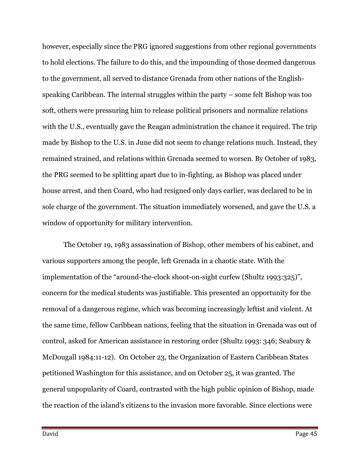however, especially since the PRG ignored suggestions from other regional governments to hold elections. The failure to do this, and the impounding of those deemed dangerous to the government, all served to distance Grenada from other nations of the Englishspeaking Caribbean. The internal struggles within the party – some felt Bishop was too soft, others were pressuring him to release political prisoners and normalize relations with the U.S., eventually gave the Reagan administration the chance it required. The trip made by Bishop to the U.S. in June did not seem to change relations much. Instead, they remained strained, and relations within Grenada seemed to worsen. By October of 1983, the PRG seemed to be splitting apart due to in-fighting, as Bishop was placed under house arrest, and then Coard, who had resigned only days earlier, was declared to be in sole charge of the government. The situation immediately worsened, and gave the U.S. a window of opportunity for military intervention.

The October 19, 1983 assassination of Bishop, other members of his cabinet, and various supporters among the people, left Grenada in a chaotic state. With the implementation of the "around-the-clock shoot-on-sight curfew (Shultz 1993:325)", concern for the medical students was justifiable. This presented an opportunity for the removal of a dangerous regime, which was becoming increasingly leftist and violent. At the same time, fellow Caribbean nations, feeling that the situation in Grenada was out of control, asked for American assistance in restoring order (Shultz 1993: 346; Seabury & McDougall 1984:11-12). On October 23, the Organization of Eastern Caribbean States petitioned Washington for this assistance, and on October 25, it was granted. The general unpopularity of Coard, contrasted with the high public opinion of Bishop, made the reaction of the island's citizens to the invasion more favorable. Since elections were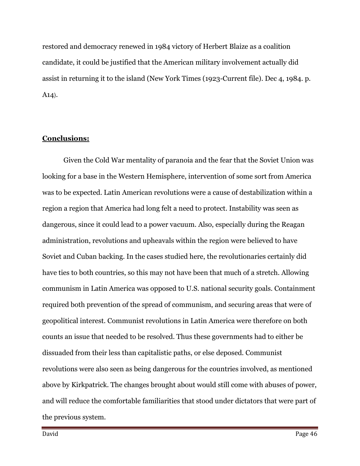restored and democracy renewed in 1984 victory of Herbert Blaize as a coalition candidate, it could be justified that the American military involvement actually did assist in returning it to the island (New York Times (1923-Current file). Dec 4, 1984. p. A14).

#### Conclusions:

 Given the Cold War mentality of paranoia and the fear that the Soviet Union was looking for a base in the Western Hemisphere, intervention of some sort from America was to be expected. Latin American revolutions were a cause of destabilization within a region a region that America had long felt a need to protect. Instability was seen as dangerous, since it could lead to a power vacuum. Also, especially during the Reagan administration, revolutions and upheavals within the region were believed to have Soviet and Cuban backing. In the cases studied here, the revolutionaries certainly did have ties to both countries, so this may not have been that much of a stretch. Allowing communism in Latin America was opposed to U.S. national security goals. Containment required both prevention of the spread of communism, and securing areas that were of geopolitical interest. Communist revolutions in Latin America were therefore on both counts an issue that needed to be resolved. Thus these governments had to either be dissuaded from their less than capitalistic paths, or else deposed. Communist revolutions were also seen as being dangerous for the countries involved, as mentioned above by Kirkpatrick. The changes brought about would still come with abuses of power, and will reduce the comfortable familiarities that stood under dictators that were part of the previous system.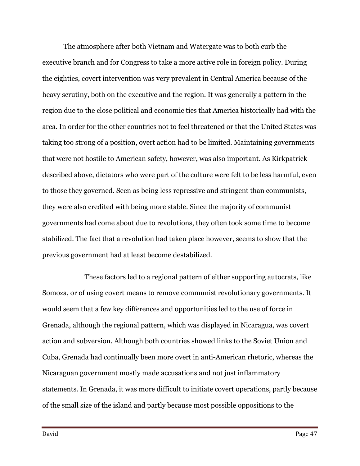The atmosphere after both Vietnam and Watergate was to both curb the executive branch and for Congress to take a more active role in foreign policy. During the eighties, covert intervention was very prevalent in Central America because of the heavy scrutiny, both on the executive and the region. It was generally a pattern in the region due to the close political and economic ties that America historically had with the area. In order for the other countries not to feel threatened or that the United States was taking too strong of a position, overt action had to be limited. Maintaining governments that were not hostile to American safety, however, was also important. As Kirkpatrick described above, dictators who were part of the culture were felt to be less harmful, even to those they governed. Seen as being less repressive and stringent than communists, they were also credited with being more stable. Since the majority of communist governments had come about due to revolutions, they often took some time to become stabilized. The fact that a revolution had taken place however, seems to show that the previous government had at least become destabilized.

 These factors led to a regional pattern of either supporting autocrats, like Somoza, or of using covert means to remove communist revolutionary governments. It would seem that a few key differences and opportunities led to the use of force in Grenada, although the regional pattern, which was displayed in Nicaragua, was covert action and subversion. Although both countries showed links to the Soviet Union and Cuba, Grenada had continually been more overt in anti-American rhetoric, whereas the Nicaraguan government mostly made accusations and not just inflammatory statements. In Grenada, it was more difficult to initiate covert operations, partly because of the small size of the island and partly because most possible oppositions to the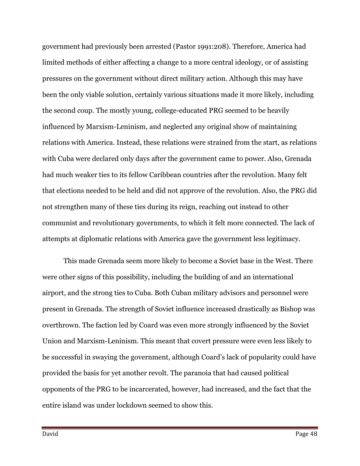government had previously been arrested (Pastor 1991:208). Therefore, America had limited methods of either affecting a change to a more central ideology, or of assisting pressures on the government without direct military action. Although this may have been the only viable solution, certainly various situations made it more likely, including the second coup. The mostly young, college-educated PRG seemed to be heavily influenced by Marxism-Leninism, and neglected any original show of maintaining relations with America. Instead, these relations were strained from the start, as relations with Cuba were declared only days after the government came to power. Also, Grenada had much weaker ties to its fellow Caribbean countries after the revolution. Many felt that elections needed to be held and did not approve of the revolution. Also, the PRG did not strengthen many of these ties during its reign, reaching out instead to other communist and revolutionary governments, to which it felt more connected. The lack of attempts at diplomatic relations with America gave the government less legitimacy.

This made Grenada seem more likely to become a Soviet base in the West. There were other signs of this possibility, including the building of and an international airport, and the strong ties to Cuba. Both Cuban military advisors and personnel were present in Grenada. The strength of Soviet influence increased drastically as Bishop was overthrown. The faction led by Coard was even more strongly influenced by the Soviet Union and Marxism-Leninism. This meant that covert pressure were even less likely to be successful in swaying the government, although Coard's lack of popularity could have provided the basis for yet another revolt. The paranoia that had caused political opponents of the PRG to be incarcerated, however, had increased, and the fact that the entire island was under lockdown seemed to show this.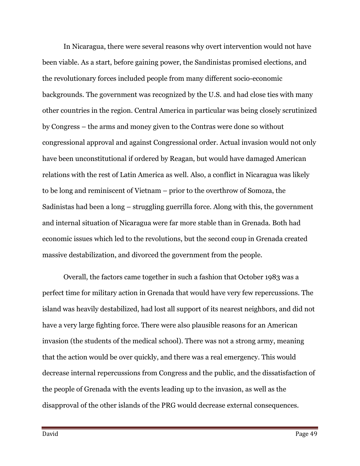In Nicaragua, there were several reasons why overt intervention would not have been viable. As a start, before gaining power, the Sandinistas promised elections, and the revolutionary forces included people from many different socio-economic backgrounds. The government was recognized by the U.S. and had close ties with many other countries in the region. Central America in particular was being closely scrutinized by Congress – the arms and money given to the Contras were done so without congressional approval and against Congressional order. Actual invasion would not only have been unconstitutional if ordered by Reagan, but would have damaged American relations with the rest of Latin America as well. Also, a conflict in Nicaragua was likely to be long and reminiscent of Vietnam – prior to the overthrow of Somoza, the Sadinistas had been a long – struggling guerrilla force. Along with this, the government and internal situation of Nicaragua were far more stable than in Grenada. Both had economic issues which led to the revolutions, but the second coup in Grenada created massive destabilization, and divorced the government from the people.

 Overall, the factors came together in such a fashion that October 1983 was a perfect time for military action in Grenada that would have very few repercussions. The island was heavily destabilized, had lost all support of its nearest neighbors, and did not have a very large fighting force. There were also plausible reasons for an American invasion (the students of the medical school). There was not a strong army, meaning that the action would be over quickly, and there was a real emergency. This would decrease internal repercussions from Congress and the public, and the dissatisfaction of the people of Grenada with the events leading up to the invasion, as well as the disapproval of the other islands of the PRG would decrease external consequences.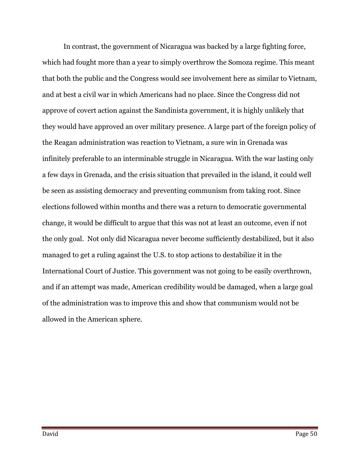In contrast, the government of Nicaragua was backed by a large fighting force, which had fought more than a year to simply overthrow the Somoza regime. This meant that both the public and the Congress would see involvement here as similar to Vietnam, and at best a civil war in which Americans had no place. Since the Congress did not approve of covert action against the Sandinista government, it is highly unlikely that they would have approved an over military presence. A large part of the foreign policy of the Reagan administration was reaction to Vietnam, a sure win in Grenada was infinitely preferable to an interminable struggle in Nicaragua. With the war lasting only a few days in Grenada, and the crisis situation that prevailed in the island, it could well be seen as assisting democracy and preventing communism from taking root. Since elections followed within months and there was a return to democratic governmental change, it would be difficult to argue that this was not at least an outcome, even if not the only goal. Not only did Nicaragua never become sufficiently destabilized, but it also managed to get a ruling against the U.S. to stop actions to destabilize it in the International Court of Justice. This government was not going to be easily overthrown, and if an attempt was made, American credibility would be damaged, when a large goal of the administration was to improve this and show that communism would not be allowed in the American sphere.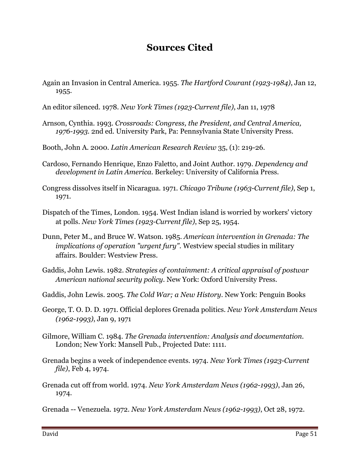## Sources Cited

- Again an Invasion in Central America. 1955. The Hartford Courant (1923-1984), Jan 12, 1955.
- An editor silenced. 1978. New York Times (1923-Current file), Jan 11, 1978
- Arnson, Cynthia. 1993. Crossroads: Congress, the President, and Central America, 1976-1993. 2nd ed. University Park, Pa: Pennsylvania State University Press.
- Booth, John A. 2000. Latin American Research Review 35, (1): 219-26.
- Cardoso, Fernando Henrique, Enzo Faletto, and Joint Author. 1979. Dependency and development in Latin America. Berkeley: University of California Press.
- Congress dissolves itself in Nicaragua. 1971. Chicago Tribune (1963-Current file), Sep 1, 1971.
- Dispatch of the Times, London. 1954. West Indian island is worried by workers' victory at polls. New York Times (1923-Current file), Sep 25, 1954.
- Dunn, Peter M., and Bruce W. Watson. 1985. American intervention in Grenada: The implications of operation "urgent fury". Westview special studies in military affairs. Boulder: Westview Press.
- Gaddis, John Lewis. 1982. Strategies of containment: A critical appraisal of postwar American national security policy. New York: Oxford University Press.
- Gaddis, John Lewis. 2005. The Cold War; a New History. New York: Penguin Books
- George, T. O. D. D. 1971. Official deplores Grenada politics. New York Amsterdam News (1962-1993), Jan 9, 1971
- Gilmore, William C. 1984. The Grenada intervention: Analysis and documentation. London; New York: Mansell Pub., Projected Date: 1111.
- Grenada begins a week of independence events. 1974. New York Times (1923-Current file), Feb 4, 1974.
- Grenada cut off from world. 1974. New York Amsterdam News (1962-1993), Jan 26, 1974.
- Grenada -- Venezuela. 1972. New York Amsterdam News (1962-1993), Oct 28, 1972.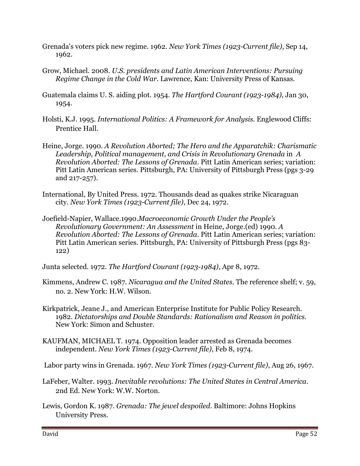- Grenada's voters pick new regime. 1962. New York Times (1923-Current file), Sep 14, 1962.
- Grow, Michael. 2008. U.S. presidents and Latin American Interventions: Pursuing Regime Change in the Cold War. Lawrence, Kan: University Press of Kansas.
- Guatemala claims U. S. aiding plot. 1954. The Hartford Courant (1923-1984), Jan 30, 1954.
- Holsti, K.J. 1995. International Politics: A Framework for Analysis. Englewood Cliffs: Prentice Hall.
- Heine, Jorge. 1990. A Revolution Aborted; The Hero and the Apparatchik: Charismatic Leadership, Political management, and Crisis in Revolutionary Grenada in A Revolution Aborted: The Lessons of Grenada. Pitt Latin American series; variation: Pitt Latin American series. Pittsburgh, PA: University of Pittsburgh Press (pgs 3-29 and 217-257).
- International, By United Press. 1972. Thousands dead as quakes strike Nicaraguan city. New York Times (1923-Current file), Dec 24, 1972.
- Joefield-Napier, Wallace.1990.Macroeconomic Growth Under the People's Revolutionary Government: An Assessment in Heine, Jorge.(ed) 1990. A Revolution Aborted: The Lessons of Grenada. Pitt Latin American series; variation: Pitt Latin American series. Pittsburgh, PA: University of Pittsburgh Press (pgs 83- 122)
- Junta selected. 1972. The Hartford Courant (1923-1984), Apr 8, 1972.
- Kimmens, Andrew C. 1987. Nicaragua and the United States. The reference shelf; v. 59, no. 2. New York: H.W. Wilson.
- Kirkpatrick, Jeane J., and American Enterprise Institute for Public Policy Research. 1982. Dictatorships and Double Standards: Rationalism and Reason in politics. New York: Simon and Schuster.
- KAUFMAN, MICHAEL T. 1974. Opposition leader arrested as Grenada becomes independent. New York Times (1923-Current file), Feb 8, 1974.

Labor party wins in Grenada. 1967. New York Times (1923-Current file), Aug 26, 1967.

- LaFeber, Walter. 1993. Inevitable revolutions: The United States in Central America. 2nd Ed. New York: W.W. Norton.
- Lewis, Gordon K. 1987. Grenada: The jewel despoiled. Baltimore: Johns Hopkins University Press.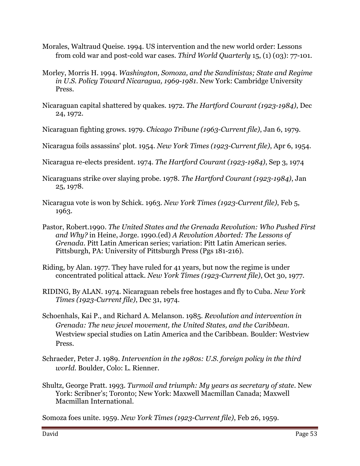- Morales, Waltraud Queise. 1994. US intervention and the new world order: Lessons from cold war and post-cold war cases. Third World Quarterly 15, (1) (03): 77-101.
- Morley, Morris H. 1994. Washington, Somoza, and the Sandinistas; State and Regime in U.S. Policy Toward Nicaragua, 1969-1981. New York: Cambridge University Press.
- Nicaraguan capital shattered by quakes. 1972. The Hartford Courant (1923-1984), Dec 24, 1972.

Nicaraguan fighting grows. 1979. Chicago Tribune (1963-Current file), Jan 6, 1979.

Nicaragua foils assassins' plot. 1954. New York Times (1923-Current file), Apr 6, 1954.

- Nicaragua re-elects president. 1974. The Hartford Courant (1923-1984), Sep 3, 1974
- Nicaraguans strike over slaying probe. 1978. The Hartford Courant (1923-1984), Jan 25, 1978.
- Nicaragua vote is won by Schick. 1963. New York Times (1923-Current file), Feb 5, 1963.
- Pastor, Robert.1990. The United States and the Grenada Revolution: Who Pushed First and Why? in Heine, Jorge. 1990.(ed) A Revolution Aborted: The Lessons of Grenada. Pitt Latin American series; variation: Pitt Latin American series. Pittsburgh, PA: University of Pittsburgh Press (Pgs 181-216).
- Riding, by Alan. 1977. They have ruled for 41 years, but now the regime is under concentrated political attack. New York Times (1923-Current file), Oct 30, 1977.
- RIDING, By ALAN. 1974. Nicaraguan rebels free hostages and fly to Cuba. New York Times (1923-Current file), Dec 31, 1974.
- Schoenhals, Kai P., and Richard A. Melanson. 1985. Revolution and intervention in Grenada: The new jewel movement, the United States, and the Caribbean. Westview special studies on Latin America and the Caribbean. Boulder: Westview Press.
- Schraeder, Peter J. 1989. Intervention in the 1980s: U.S. foreign policy in the third world. Boulder, Colo: L. Rienner.
- Shultz, George Pratt. 1993. Turmoil and triumph: My years as secretary of state. New York: Scribner's; Toronto; New York: Maxwell Macmillan Canada; Maxwell Macmillan International.

Somoza foes unite. 1959. New York Times (1923-Current file), Feb 26, 1959.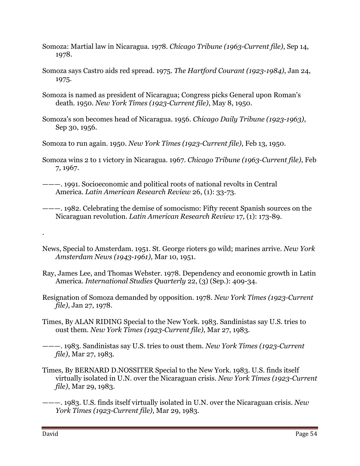- Somoza: Martial law in Nicaragua. 1978. Chicago Tribune (1963-Current file), Sep 14, 1978.
- Somoza says Castro aids red spread. 1975. The Hartford Courant (1923-1984), Jan 24, 1975.
- Somoza is named as president of Nicaragua; Congress picks General upon Roman's death. 1950. New York Times (1923-Current file), May 8, 1950.
- Somoza's son becomes head of Nicaragua. 1956. Chicago Daily Tribune (1923-1963), Sep 30, 1956.
- Somoza to run again. 1950. New York Times (1923-Current file), Feb 13, 1950.
- Somoza wins 2 to 1 victory in Nicaragua. 1967. Chicago Tribune (1963-Current file), Feb 7, 1967.
- ———. 1991. Socioeconomic and political roots of national revolts in Central America. Latin American Research Review 26, (1): 33-73.

———. 1982. Celebrating the demise of somocismo: Fifty recent Spanish sources on the Nicaraguan revolution. Latin American Research Review 17, (1): 173-89.

- News, Special to Amsterdam. 1951. St. George rioters go wild; marines arrive. New York Amsterdam News (1943-1961), Mar 10, 1951.
- Ray, James Lee, and Thomas Webster. 1978. Dependency and economic growth in Latin America. International Studies Quarterly 22, (3) (Sep.): 409-34.
- Resignation of Somoza demanded by opposition. 1978. New York Times (1923-Current file), Jan 27, 1978.
- Times, By ALAN RIDING Special to the New York. 1983. Sandinistas say U.S. tries to oust them. New York Times (1923-Current file), Mar 27, 1983.
- ———. 1983. Sandinistas say U.S. tries to oust them. *New York Times (1923-Current*) file), Mar 27, 1983.
- Times, By BERNARD D.NOSSITER Special to the New York. 1983. U.S. finds itself virtually isolated in U.N. over the Nicaraguan crisis. New York Times (1923-Current file), Mar 29, 1983.
- ———. 1983. U.S. finds itself virtually isolated in U.N. over the Nicaraguan crisis. New York Times (1923-Current file), Mar 29, 1983.

.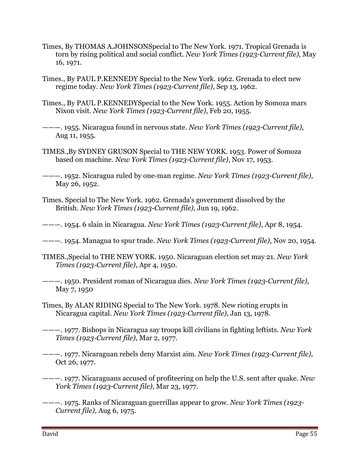- Times, By THOMAS A.JOHNSONSpecial to The New York. 1971. Tropical Grenada is torn by rising political and social conflict. New York Times (1923-Current file), May 16, 1971.
- Times., By PAUL P.KENNEDY Special to the New York. 1962. Grenada to elect new regime today. New York Times (1923-Current file), Sep 13, 1962.
- Times., By PAUL P.KENNEDYSpecial to the New York. 1955. Action by Somoza mars Nixon visit. New York Times (1923-Current file), Feb 20, 1955.
- ———. 1955. Nicaragua found in nervous state. New York Times (1923-Current file), Aug 11, 1955.
- TIMES.,By SYDNEY GRUSON Special to THE NEW YORK. 1953. Power of Somoza based on machine. New York Times (1923-Current file), Nov 17, 1953.
- ———. 1952. Nicaragua ruled by one-man regime. New York Times (1923-Current file), May 26, 1952.
- Times. Special to The New York. 1962. Grenada's government dissolved by the British. New York Times (1923-Current file), Jun 19, 1962.
- ———. 1954. 6 slain in Nicaragua. New York Times (1923-Current file), Apr 8, 1954.
- $---$ . 1954. Managua to spur trade. *New York Times (1923-Current file)*, Nov 20, 1954.
- TIMES.,Special to THE NEW YORK. 1950. Nicaraguan election set may 21. New York Times (1923-Current file), Apr 4, 1950.
- ———. 1950. President roman of Nicaragua dies. New York Times (1923-Current file), May 7, 1950
- Times, By ALAN RIDING Special to The New York. 1978. New rioting erupts in Nicaragua capital. New York Times (1923-Current file), Jan 13, 1978.
- ———. 1977. Bishops in Nicaragua say troops kill civilians in fighting leftists. New York Times (1923-Current file), Mar 2, 1977.
- ———. 1977. Nicaraguan rebels deny Marxist aim. New York Times (1923-Current file), Oct 26, 1977.
- ———. 1977. Nicaraguans accused of profiteering on help the U.S. sent after quake. New York Times (1923-Current file), Mar 23, 1977.
- --- 1975. Ranks of Nicaraguan guerrillas appear to grow. New York Times (1923-Current file), Aug 6, 1975.